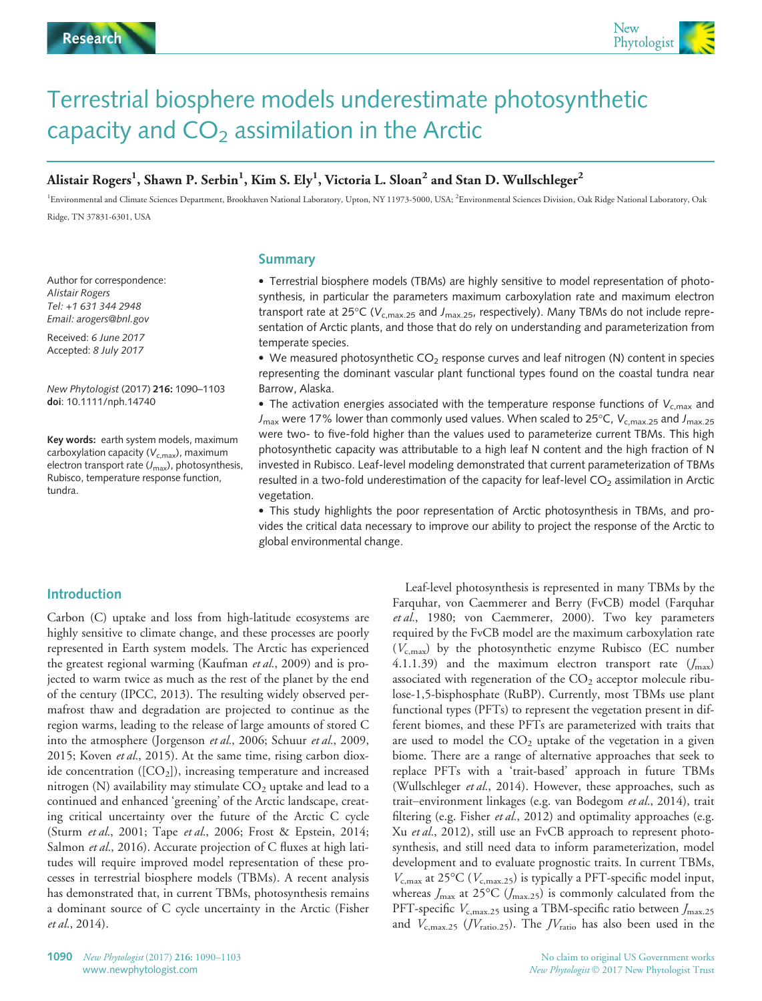

# Terrestrial biosphere models underestimate photosynthetic capacity and  $CO<sub>2</sub>$  assimilation in the Arctic

## Alistair Rogers $^1$ , Shawn P. Serbin $^1$ , Kim S. Ely $^1$ , Victoria L. Sloan $^2$  and Stan D. Wullschleger $^2$

<sup>1</sup>Environmental and Climate Sciences Department, Brookhaven National Laboratory, Upton, NY 11973-5000, USA; <sup>2</sup>Environmental Sciences Division, Oak Ridge National Laboratory, Oak Ridge, TN 37831-6301, USA

Author for correspondence: Alistair Rogers Tel: +1 631 344 2948 Email: arogers@bnl.gov

Received: 6 June 2017 Accepted: 8 July 2017

New Phytologist (2017) 216: 1090–1103 doi: 10.1111/nph.14740

Key words: earth system models, maximum carboxylation capacity ( $V_{c,max}$ ), maximum electron transport rate  $(J_{\text{max}})$ , photosynthesis, Rubisco, temperature response function, tundra.

## Summary

 Terrestrial biosphere models (TBMs) are highly sensitive to model representation of photosynthesis, in particular the parameters maximum carboxylation rate and maximum electron transport rate at 25°C ( $V_{c,max.25}$  and  $J_{max.25}$ , respectively). Many TBMs do not include representation of Arctic plants, and those that do rely on understanding and parameterization from temperate species.

 $\bullet$  We measured photosynthetic CO<sub>2</sub> response curves and leaf nitrogen (N) content in species representing the dominant vascular plant functional types found on the coastal tundra near Barrow, Alaska.

• The activation energies associated with the temperature response functions of  $V_{c,max}$  and  $J_{\text{max}}$  were 17% lower than commonly used values. When scaled to 25°C,  $V_{\text{c,max},25}$  and  $J_{\text{max},25}$ were two- to five-fold higher than the values used to parameterize current TBMs. This high photosynthetic capacity was attributable to a high leaf N content and the high fraction of N invested in Rubisco. Leaf-level modeling demonstrated that current parameterization of TBMs resulted in a two-fold underestimation of the capacity for leaf-level  $CO<sub>2</sub>$  assimilation in Arctic vegetation.

 This study highlights the poor representation of Arctic photosynthesis in TBMs, and provides the critical data necessary to improve our ability to project the response of the Arctic to global environmental change.

## Introduction

Carbon (C) uptake and loss from high-latitude ecosystems are highly sensitive to climate change, and these processes are poorly represented in Earth system models. The Arctic has experienced the greatest regional warming (Kaufman et al., 2009) and is projected to warm twice as much as the rest of the planet by the end of the century (IPCC, 2013). The resulting widely observed permafrost thaw and degradation are projected to continue as the region warms, leading to the release of large amounts of stored C into the atmosphere (Jorgenson et al., 2006; Schuur et al., 2009, 2015; Koven et al., 2015). At the same time, rising carbon dioxide concentration  $([CO<sub>2</sub>])$ , increasing temperature and increased nitrogen (N) availability may stimulate  $CO<sub>2</sub>$  uptake and lead to a continued and enhanced 'greening' of the Arctic landscape, creating critical uncertainty over the future of the Arctic C cycle (Sturm et al., 2001; Tape et al., 2006; Frost & Epstein, 2014; Salmon et al., 2016). Accurate projection of C fluxes at high latitudes will require improved model representation of these processes in terrestrial biosphere models (TBMs). A recent analysis has demonstrated that, in current TBMs, photosynthesis remains a dominant source of C cycle uncertainty in the Arctic (Fisher et al., 2014).

Leaf-level photosynthesis is represented in many TBMs by the Farquhar, von Caemmerer and Berry (FvCB) model (Farquhar et al., 1980; von Caemmerer, 2000). Two key parameters required by the FvCB model are the maximum carboxylation rate  $(V_{c,max})$  by the photosynthetic enzyme Rubisco (EC number 4.1.1.39) and the maximum electron transport rate  $(J_{\text{max}})$ associated with regeneration of the  $CO<sub>2</sub>$  acceptor molecule ribulose-1,5-bisphosphate (RuBP). Currently, most TBMs use plant functional types (PFTs) to represent the vegetation present in different biomes, and these PFTs are parameterized with traits that are used to model the  $CO<sub>2</sub>$  uptake of the vegetation in a given biome. There are a range of alternative approaches that seek to replace PFTs with a 'trait-based' approach in future TBMs (Wullschleger et al., 2014). However, these approaches, such as trait–environment linkages (e.g. van Bodegom et al., 2014), trait filtering (e.g. Fisher *et al.*, 2012) and optimality approaches (e.g. Xu et al., 2012), still use an FvCB approach to represent photosynthesis, and still need data to inform parameterization, model development and to evaluate prognostic traits. In current TBMs,  $V_{c,\text{max}}$  at 25°C ( $V_{c,\text{max.25}}$ ) is typically a PFT-specific model input, whereas  $J_{\text{max}}$  at 25°C ( $J_{\text{max.25}}$ ) is commonly calculated from the PFT-specific  $V_{\text{c,max.25}}$  using a TBM-specific ratio between  $J_{\text{max.25}}$ and  $V_{\text{c,max,25}}$  (*JV*<sub>ratio.25</sub>). The *JV*<sub>ratio</sub> has also been used in the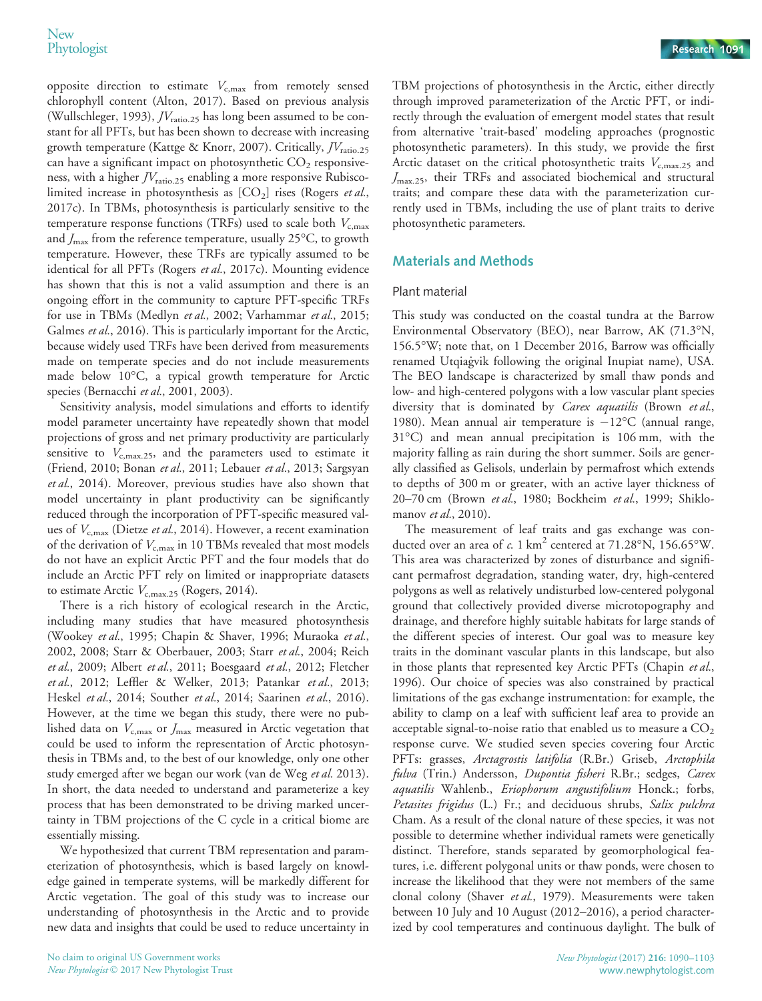opposite direction to estimate  $V_{c,\text{max}}$  from remotely sensed chlorophyll content (Alton, 2017). Based on previous analysis (Wullschleger, 1993),  $JV_{\rm ratio, 25}$  has long been assumed to be constant for all PFTs, but has been shown to decrease with increasing growth temperature (Kattge & Knorr, 2007). Critically,  $JV_{\text{ratio},25}$ can have a significant impact on photosynthetic  $CO<sub>2</sub>$  responsiveness, with a higher  $JV_{\text{ratio},25}$  enabling a more responsive Rubiscolimited increase in photosynthesis as  $[CO<sub>2</sub>]$  rises (Rogers *et al.*, 2017c). In TBMs, photosynthesis is particularly sensitive to the temperature response functions (TRFs) used to scale both  $V_{c,\text{max}}$ and  $J_{\text{max}}$  from the reference temperature, usually 25 $\textdegree$ C, to growth temperature. However, these TRFs are typically assumed to be identical for all PFTs (Rogers et al., 2017c). Mounting evidence has shown that this is not a valid assumption and there is an ongoing effort in the community to capture PFT-specific TRFs for use in TBMs (Medlyn et al., 2002; Varhammar et al., 2015; Galmes et al., 2016). This is particularly important for the Arctic, because widely used TRFs have been derived from measurements made on temperate species and do not include measurements made below 10°C, a typical growth temperature for Arctic species (Bernacchi et al., 2001, 2003).

Sensitivity analysis, model simulations and efforts to identify model parameter uncertainty have repeatedly shown that model projections of gross and net primary productivity are particularly sensitive to  $V_{\text{c,max.25}}$ , and the parameters used to estimate it (Friend, 2010; Bonan et al., 2011; Lebauer et al., 2013; Sargsyan et al., 2014). Moreover, previous studies have also shown that model uncertainty in plant productivity can be significantly reduced through the incorporation of PFT-specific measured values of  $V_{c,max}$  (Dietze *et al.*, 2014). However, a recent examination of the derivation of  $V_{c,\text{max}}$  in 10 TBMs revealed that most models do not have an explicit Arctic PFT and the four models that do include an Arctic PFT rely on limited or inappropriate datasets to estimate Arctic  $V_{\rm c,max.25}$  (Rogers, 2014).

There is a rich history of ecological research in the Arctic, including many studies that have measured photosynthesis (Wookey et al., 1995; Chapin & Shaver, 1996; Muraoka et al., 2002, 2008; Starr & Oberbauer, 2003; Starr et al., 2004; Reich et al., 2009; Albert et al., 2011; Boesgaard et al., 2012; Fletcher et al., 2012; Leffler & Welker, 2013; Patankar et al., 2013; Heskel et al., 2014; Souther et al., 2014; Saarinen et al., 2016). However, at the time we began this study, there were no published data on  $V_{c,\text{max}}$  or  $J_{\text{max}}$  measured in Arctic vegetation that could be used to inform the representation of Arctic photosynthesis in TBMs and, to the best of our knowledge, only one other study emerged after we began our work (van de Weg et al. 2013). In short, the data needed to understand and parameterize a key process that has been demonstrated to be driving marked uncertainty in TBM projections of the C cycle in a critical biome are essentially missing.

We hypothesized that current TBM representation and parameterization of photosynthesis, which is based largely on knowledge gained in temperate systems, will be markedly different for Arctic vegetation. The goal of this study was to increase our understanding of photosynthesis in the Arctic and to provide new data and insights that could be used to reduce uncertainty in TBM projections of photosynthesis in the Arctic, either directly through improved parameterization of the Arctic PFT, or indirectly through the evaluation of emergent model states that result from alternative 'trait-based' modeling approaches (prognostic photosynthetic parameters). In this study, we provide the first Arctic dataset on the critical photosynthetic traits  $V_{c,\text{max.25}}$  and  $J_{\text{max.25}}$ , their TRFs and associated biochemical and structural traits; and compare these data with the parameterization currently used in TBMs, including the use of plant traits to derive photosynthetic parameters.

## Materials and Methods

#### Plant material

This study was conducted on the coastal tundra at the Barrow Environmental Observatory (BEO), near Barrow, AK (71.3°N, 156.5°W; note that, on 1 December 2016, Barrow was officially renamed Utqiagvik following the original Inupiat name), USA. The BEO landscape is characterized by small thaw ponds and low- and high-centered polygons with a low vascular plant species diversity that is dominated by Carex aquatilis (Brown et al., 1980). Mean annual air temperature is  $-12^{\circ}$ C (annual range, 31°C) and mean annual precipitation is 106 mm, with the majority falling as rain during the short summer. Soils are generally classified as Gelisols, underlain by permafrost which extends to depths of 300 m or greater, with an active layer thickness of 20–70 cm (Brown et al., 1980; Bockheim et al., 1999; Shiklomanov et al., 2010).

The measurement of leaf traits and gas exchange was conducted over an area of c. 1 km<sup>2</sup> centered at 71.28°N, 156.65°W. This area was characterized by zones of disturbance and significant permafrost degradation, standing water, dry, high-centered polygons as well as relatively undisturbed low-centered polygonal ground that collectively provided diverse microtopography and drainage, and therefore highly suitable habitats for large stands of the different species of interest. Our goal was to measure key traits in the dominant vascular plants in this landscape, but also in those plants that represented key Arctic PFTs (Chapin et al., 1996). Our choice of species was also constrained by practical limitations of the gas exchange instrumentation: for example, the ability to clamp on a leaf with sufficient leaf area to provide an acceptable signal-to-noise ratio that enabled us to measure a  $CO<sub>2</sub>$ response curve. We studied seven species covering four Arctic PFTs: grasses, Arctagrostis latifolia (R.Br.) Griseb, Arctophila fulva (Trin.) Andersson, Dupontia fisheri R.Br.; sedges, Carex aquatilis Wahlenb., Eriophorum angustifolium Honck.; forbs, Petasites frigidus (L.) Fr.; and deciduous shrubs, Salix pulchra Cham. As a result of the clonal nature of these species, it was not possible to determine whether individual ramets were genetically distinct. Therefore, stands separated by geomorphological features, i.e. different polygonal units or thaw ponds, were chosen to increase the likelihood that they were not members of the same clonal colony (Shaver et al., 1979). Measurements were taken between 10 July and 10 August (2012–2016), a period characterized by cool temperatures and continuous daylight. The bulk of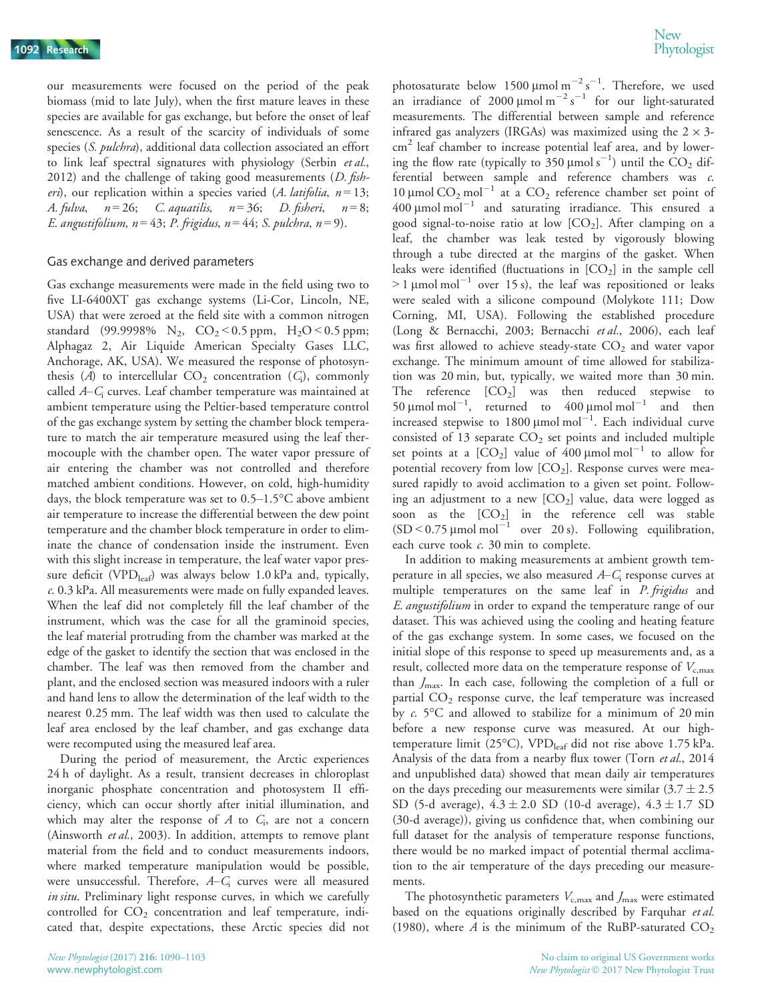our measurements were focused on the period of the peak biomass (mid to late July), when the first mature leaves in these species are available for gas exchange, but before the onset of leaf senescence. As a result of the scarcity of individuals of some species (S. pulchra), additional data collection associated an effort to link leaf spectral signatures with physiology (Serbin et al., 2012) and the challenge of taking good measurements  $(D. fish$ eri), our replication within a species varied (A. latifolia,  $n = 13$ ; A. fulva,  $n = 26$ ; C. aquatilis,  $n = 36$ ; D. fisheri,  $n = 8$ ; E. angustifolium,  $n = 43$ ; P. frigidus,  $n = 44$ ; S. pulchra,  $n = 9$ ).

#### Gas exchange and derived parameters

Gas exchange measurements were made in the field using two to five LI-6400XT gas exchange systems (Li-Cor, Lincoln, NE, USA) that were zeroed at the field site with a common nitrogen standard (99.9998% N<sub>2</sub>, CO<sub>2</sub> < 0.5 ppm, H<sub>2</sub>O < 0.5 ppm; Alphagaz 2, Air Liquide American Specialty Gases LLC, Anchorage, AK, USA). We measured the response of photosynthesis (A) to intercellular  $CO<sub>2</sub>$  concentration ( $C<sub>i</sub>$ ), commonly called A–C<sub>i</sub> curves. Leaf chamber temperature was maintained at ambient temperature using the Peltier-based temperature control of the gas exchange system by setting the chamber block temperature to match the air temperature measured using the leaf thermocouple with the chamber open. The water vapor pressure of air entering the chamber was not controlled and therefore matched ambient conditions. However, on cold, high-humidity days, the block temperature was set to 0.5–1.5°C above ambient air temperature to increase the differential between the dew point temperature and the chamber block temperature in order to eliminate the chance of condensation inside the instrument. Even with this slight increase in temperature, the leaf water vapor pressure deficit (VPD<sub>leaf</sub>) was always below 1.0 kPa and, typically, c. 0.3 kPa. All measurements were made on fully expanded leaves. When the leaf did not completely fill the leaf chamber of the instrument, which was the case for all the graminoid species, the leaf material protruding from the chamber was marked at the edge of the gasket to identify the section that was enclosed in the chamber. The leaf was then removed from the chamber and plant, and the enclosed section was measured indoors with a ruler and hand lens to allow the determination of the leaf width to the nearest 0.25 mm. The leaf width was then used to calculate the leaf area enclosed by the leaf chamber, and gas exchange data were recomputed using the measured leaf area.

During the period of measurement, the Arctic experiences 24 h of daylight. As a result, transient decreases in chloroplast inorganic phosphate concentration and photosystem II efficiency, which can occur shortly after initial illumination, and which may alter the response of  $A$  to  $C_i$ , are not a concern (Ainsworth et al., 2003). In addition, attempts to remove plant material from the field and to conduct measurements indoors, where marked temperature manipulation would be possible, were unsuccessful. Therefore,  $A-C<sub>i</sub>$  curves were all measured in situ. Preliminary light response curves, in which we carefully controlled for  $CO<sub>2</sub>$  concentration and leaf temperature, indicated that, despite expectations, these Arctic species did not

photosaturate below 1500  $\mu$ mol m<sup>-2</sup> s<sup>-1</sup>. Therefore, we used an irradiance of 2000  $\mu$ mol m<sup>-2</sup> s<sup>-1</sup> for our light-saturated measurements. The differential between sample and reference infrared gas analyzers (IRGAs) was maximized using the  $2 \times 3$ cm<sup>2</sup> leaf chamber to increase potential leaf area, and by lowering the flow rate (typically to  $350 \mu$ mol s<sup>-1</sup>) until the CO<sub>2</sub> differential between sample and reference chambers was c. 10 µmol  $CO_2$  mol<sup>-1</sup> at a  $CO_2$  reference chamber set point of  $400 \mu$ mol mol $^{-1}$  and saturating irradiance. This ensured a good signal-to-noise ratio at low  $[CO<sub>2</sub>]$ . After clamping on a leaf, the chamber was leak tested by vigorously blowing through a tube directed at the margins of the gasket. When leaks were identified (fluctuations in  $[CO<sub>2</sub>]$  in the sample cell  $> 1 \mu$ mol mol<sup>-1</sup> over 15 s), the leaf was repositioned or leaks were sealed with a silicone compound (Molykote 111; Dow Corning, MI, USA). Following the established procedure (Long & Bernacchi, 2003; Bernacchi et al., 2006), each leaf was first allowed to achieve steady-state  $CO<sub>2</sub>$  and water vapor exchange. The minimum amount of time allowed for stabilization was 20 min, but, typically, we waited more than 30 min. The reference  $[CO_2]$  was then reduced stepwise to 50  $\mu$ mol mol<sup>-1</sup>, returned to 400  $\mu$ mol mol<sup>-1</sup> and then increased stepwise to 1800  $\mu$ mol mol<sup>-1</sup>. Each individual curve consisted of 13 separate  $CO<sub>2</sub>$  set points and included multiple set points at a  $[CO_2]$  value of  $400 \mu$ mol mol<sup>-1</sup> to allow for potential recovery from low  $[CO<sub>2</sub>]$ . Response curves were measured rapidly to avoid acclimation to a given set point. Following an adjustment to a new  $[CO<sub>2</sub>]$  value, data were logged as soon as the  $[CO_2]$  in the reference cell was stable  $(SD < 0.75 \mu mol mol^{-1}$  over 20 s). Following equilibration, each curve took c. 30 min to complete.

In addition to making measurements at ambient growth temperature in all species, we also measured  $A-C<sub>i</sub>$  response curves at multiple temperatures on the same leaf in P. frigidus and E. angustifolium in order to expand the temperature range of our dataset. This was achieved using the cooling and heating feature of the gas exchange system. In some cases, we focused on the initial slope of this response to speed up measurements and, as a result, collected more data on the temperature response of  $V_{c,\text{max}}$ than  $J_{\text{max}}$ . In each case, following the completion of a full or partial  $CO<sub>2</sub>$  response curve, the leaf temperature was increased by c. 5°C and allowed to stabilize for a minimum of 20 min before a new response curve was measured. At our hightemperature limit (25°C), VPD<sub>leaf</sub> did not rise above 1.75 kPa. Analysis of the data from a nearby flux tower (Torn et al., 2014 and unpublished data) showed that mean daily air temperatures on the days preceding our measurements were similar  $(3.7 \pm 2.5)$ SD (5-d average),  $4.3 \pm 2.0$  SD (10-d average),  $4.3 \pm 1.7$  SD (30-d average)), giving us confidence that, when combining our full dataset for the analysis of temperature response functions, there would be no marked impact of potential thermal acclimation to the air temperature of the days preceding our measurements.

The photosynthetic parameters  $V_{c,\text{max}}$  and  $J_{\text{max}}$  were estimated based on the equations originally described by Farquhar et al. (1980), where A is the minimum of the RuBP-saturated  $CO<sub>2</sub>$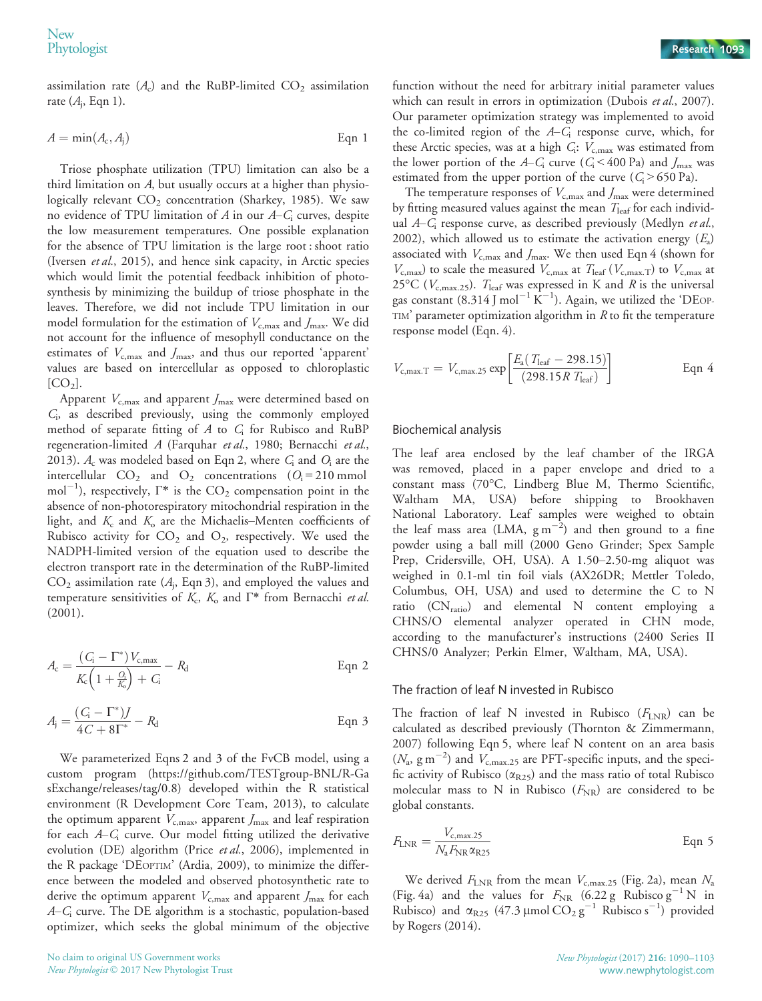assimilation rate  $(A<sub>c</sub>)$  and the RuBP-limited  $CO<sub>2</sub>$  assimilation rate  $(A_i, \text{Eqn 1}).$ 

$$
A = \min(A_c, A_j) \tag{Eqn 1}
$$

Triose phosphate utilization (TPU) limitation can also be a third limitation on A, but usually occurs at a higher than physiologically relevant  $CO<sub>2</sub>$  concentration (Sharkey, 1985). We saw no evidence of TPU limitation of A in our  $A - C_i$  curves, despite the low measurement temperatures. One possible explanation for the absence of TPU limitation is the large root : shoot ratio (Iversen et al., 2015), and hence sink capacity, in Arctic species which would limit the potential feedback inhibition of photosynthesis by minimizing the buildup of triose phosphate in the leaves. Therefore, we did not include TPU limitation in our model formulation for the estimation of  $V_{c,\text{max}}$  and  $J_{\text{max}}$ . We did not account for the influence of mesophyll conductance on the estimates of  $V_{\text{c,max}}$  and  $J_{\text{max}}$ , and thus our reported 'apparent' values are based on intercellular as opposed to chloroplastic  $[CO<sub>2</sub>].$ 

Apparent  $V_{c,max}$  and apparent  $J_{max}$  were determined based on Ci, as described previously, using the commonly employed method of separate fitting of  $A$  to  $C_i$  for Rubisco and RuBP regeneration-limited A (Farquhar et al., 1980; Bernacchi et al., 2013).  $A_c$  was modeled based on Eqn 2, where  $C_i$  and  $O_i$  are the intercellular  $CO_2$  and  $O_2$  concentrations  $(O_i = 210 \text{ mmol})$ mol<sup>-1</sup>), respectively,  $\Gamma^*$  is the  $\mathrm{CO}_2$  compensation point in the absence of non-photorespiratory mitochondrial respiration in the light, and  $K_c$  and  $K_o$  are the Michaelis–Menten coefficients of Rubisco activity for  $CO<sub>2</sub>$  and  $O<sub>2</sub>$ , respectively. We used the NADPH-limited version of the equation used to describe the electron transport rate in the determination of the RuBP-limited  $CO<sub>2</sub>$  assimilation rate ( $A<sub>i</sub>$ , Eqn 3), and employed the values and temperature sensitivities of  $K_c$ ,  $K_o$  and  $\Gamma^*$  from Bernacchi et al. (2001).

$$
A_{\rm c} = \frac{(C_{\rm i} - \Gamma^*)V_{\rm c,max}}{K_{\rm c}\left(1 + \frac{Q_{\rm i}}{K_{\rm o}}\right) + C_{\rm i}} - R_{\rm d}
$$
Eqn 2

$$
A_{\mathbf{j}} = \frac{(C_{\mathbf{i}} - \Gamma^*)}{4C + 8\Gamma^*} - R_{\mathbf{d}}
$$
 Eqn 3

We parameterized Eqns 2 and 3 of the FvCB model, using a custom program ([https://github.com/TESTgroup-BNL/R-Ga](https://github.com/TESTgroup-BNL/R-GasExchange/releases/tag/0.8) [sExchange/releases/tag/0.8\)](https://github.com/TESTgroup-BNL/R-GasExchange/releases/tag/0.8) developed within the R statistical environment (R Development Core Team, 2013), to calculate the optimum apparent  $V_{c,\text{max}}$ , apparent  $J_{\text{max}}$  and leaf respiration for each  $A - C_i$  curve. Our model fitting utilized the derivative evolution (DE) algorithm (Price et al., 2006), implemented in the R package 'DEOPTIM' (Ardia, 2009), to minimize the difference between the modeled and observed photosynthetic rate to derive the optimum apparent  $V_{c,\text{max}}$  and apparent  $J_{\text{max}}$  for each A–C<sup>i</sup> curve. The DE algorithm is a stochastic, population-based optimizer, which seeks the global minimum of the objective function without the need for arbitrary initial parameter values which can result in errors in optimization (Dubois et al., 2007). Our parameter optimization strategy was implemented to avoid the co-limited region of the  $A-C<sub>i</sub>$  response curve, which, for these Arctic species, was at a high  $C_i$ :  $V_{c,\text{max}}$  was estimated from the lower portion of the A–C<sub>i</sub> curve (C<sub>i</sub> < 400 Pa) and  $J_{\text{max}}$  was estimated from the upper portion of the curve  $(C_i > 650 \text{ Pa})$ .

The temperature responses of  $V_{c,\text{max}}$  and  $J_{\text{max}}$  were determined by fitting measured values against the mean  $T_{\text{leaf}}$  for each individual  $A-C<sub>i</sub>$  response curve, as described previously (Medlyn et al., 2002), which allowed us to estimate the activation energy  $(E_a)$ associated with  $V_{\text{c,max}}$  and  $J_{\text{max}}$ . We then used Eqn 4 (shown for  $V_{\rm c,max}$ ) to scale the measured  $V_{\rm c,max}$  at  $T_{\rm leaf}$  ( $V_{\rm c,max,T}$ ) to  $V_{\rm c,max}$  at 25°C ( $V_{c,max,25}$ ).  $T_{leaf}$  was expressed in K and R is the universal gas constant (8.314 J mol<sup>-1</sup>  $\text{K}^{-1}$ ). Again, we utilized the 'DEOP-TIM' parameter optimization algorithm in  $R$  to fit the temperature response model (Eqn. 4).

$$
V_{\rm c,max.T} = V_{\rm c,max.25} \exp\left[\frac{E_a (T_{\rm leaf} - 298.15)}{(298.15R T_{\rm leaf})}\right]
$$
 Eqn 4

#### Biochemical analysis

The leaf area enclosed by the leaf chamber of the IRGA was removed, placed in a paper envelope and dried to a constant mass (70°C, Lindberg Blue M, Thermo Scientific, Waltham MA, USA) before shipping to Brookhaven National Laboratory. Leaf samples were weighed to obtain the leaf mass area (LMA,  $g m^{-2}$ ) and then ground to a fine powder using a ball mill (2000 Geno Grinder; Spex Sample Prep, Cridersville, OH, USA). A 1.50–2.50-mg aliquot was weighed in 0.1-ml tin foil vials (AX26DR; Mettler Toledo, Columbus, OH, USA) and used to determine the C to N ratio (CN<sub>ratio</sub>) and elemental N content employing a CHNS/O elemental analyzer operated in CHN mode, according to the manufacturer's instructions (2400 Series II CHNS/0 Analyzer; Perkin Elmer, Waltham, MA, USA).

#### The fraction of leaf N invested in Rubisco

The fraction of leaf N invested in Rubisco  $(F_{LNR})$  can be calculated as described previously (Thornton & Zimmermann, 2007) following Eqn 5, where leaf N content on an area basis  $(N_a, g\,m^{-2})$  and  $V_{c,\text{max.25}}$  are PFT-specific inputs, and the specific activity of Rubisco ( $\alpha_{R25}$ ) and the mass ratio of total Rubisco molecular mass to N in Rubisco  $(F_{NR})$  are considered to be global constants.

$$
F_{\text{LNR}} = \frac{V_{\text{c,max.25}}}{N_{\text{a}} F_{\text{NR}} \alpha_{\text{R25}}} \tag{Eqn 5}
$$

We derived  $F_{\text{LNR}}$  from the mean  $V_{\text{c,max.25}}$  (Fig. 2a), mean  $N_{\text{a}}$ (Fig. 4a) and the values for  $F_{\text{NR}}$  (6.22 g Rubisco  $g^{-1}N$  in Rubisco) and  $\alpha_{R25}$  (47.3 µmol CO<sub>2</sub> g<sup>-1</sup> Rubisco s<sup>-1</sup>) provided by Rogers (2014).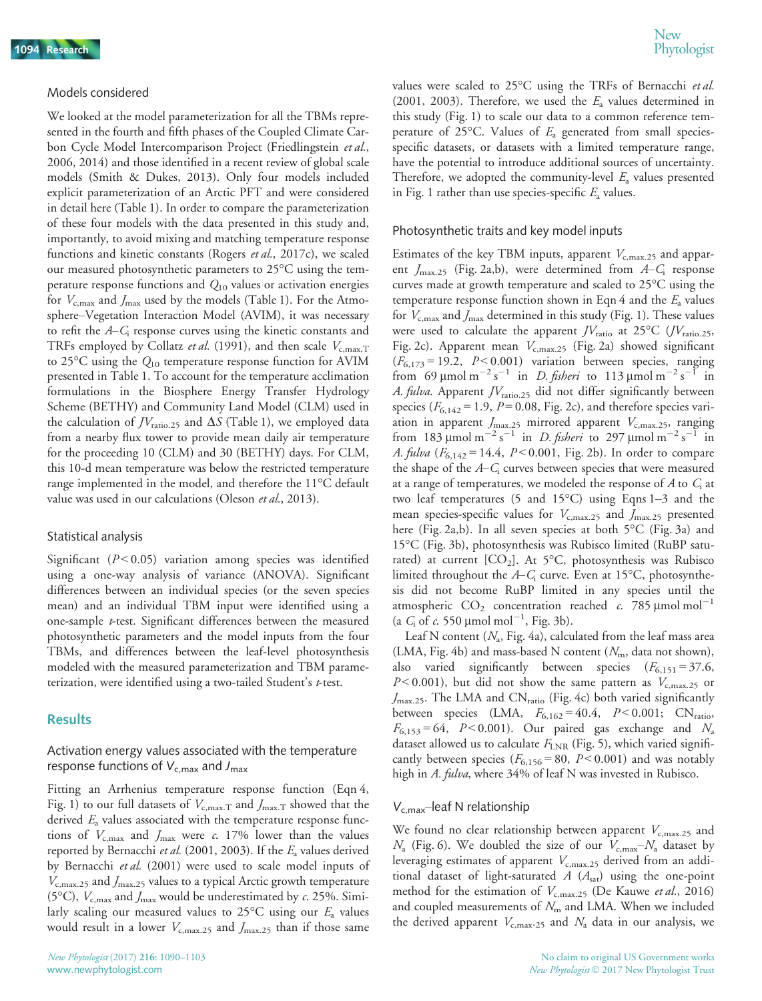#### Models considered

We looked at the model parameterization for all the TBMs represented in the fourth and fifth phases of the Coupled Climate Carbon Cycle Model Intercomparison Project (Friedlingstein et al., 2006, 2014) and those identified in a recent review of global scale models (Smith & Dukes, 2013). Only four models included explicit parameterization of an Arctic PFT and were considered in detail here (Table 1). In order to compare the parameterization of these four models with the data presented in this study and, importantly, to avoid mixing and matching temperature response functions and kinetic constants (Rogers et al., 2017c), we scaled our measured photosynthetic parameters to 25°C using the temperature response functions and  $Q_{10}$  values or activation energies for  $V_{\text{c,max}}$  and  $J_{\text{max}}$  used by the models (Table 1). For the Atmosphere–Vegetation Interaction Model (AVIM), it was necessary to refit the  $A-C<sub>i</sub>$  response curves using the kinetic constants and TRFs employed by Collatz et al. (1991), and then scale  $V_{c,\text{max,T}}$ to 25 $\rm{^{\circ}C}$  using the  $Q_{10}$  temperature response function for AVIM presented in Table 1. To account for the temperature acclimation formulations in the Biosphere Energy Transfer Hydrology Scheme (BETHY) and Community Land Model (CLM) used in the calculation of  $JV_{\text{ratio},25}$  and  $\Delta S$  (Table 1), we employed data from a nearby flux tower to provide mean daily air temperature for the proceeding 10 (CLM) and 30 (BETHY) days. For CLM, this 10-d mean temperature was below the restricted temperature range implemented in the model, and therefore the 11°C default value was used in our calculations (Oleson et al., 2013).

#### Statistical analysis

Significant ( $P < 0.05$ ) variation among species was identified using a one-way analysis of variance (ANOVA). Significant differences between an individual species (or the seven species mean) and an individual TBM input were identified using a one-sample  $t$ -test. Significant differences between the measured photosynthetic parameters and the model inputs from the four TBMs, and differences between the leaf-level photosynthesis modeled with the measured parameterization and TBM parameterization, were identified using a two-tailed Student's t-test.

#### Results

## Activation energy values associated with the temperature response functions of  $V_{c,max}$  and  $J_{max}$

Fitting an Arrhenius temperature response function (Eqn 4, Fig. 1) to our full datasets of  $V_{\text{c,max,T}}$  and  $J_{\text{max,T}}$  showed that the derived  $E_a$  values associated with the temperature response functions of  $V_{c,max}$  and  $J_{max}$  were c. 17% lower than the values reported by Bernacchi et al. (2001, 2003). If the  $E_a$  values derived by Bernacchi et al. (2001) were used to scale model inputs of  $V_{\rm c,max,25}$  and  $J_{\rm max,25}$  values to a typical Arctic growth temperature (5<sup>o</sup>C),  $V_{c,max}$  and  $J_{max}$  would be underestimated by c. 25%. Similarly scaling our measured values to  $25^{\circ}$ C using our  $E_a$  values would result in a lower  $V_{\text{c,max},25}$  and  $J_{\text{max},25}$  than if those same

values were scaled to  $25^{\circ}$ C using the TRFs of Bernacchi *et al.* (2001, 2003). Therefore, we used the  $E_a$  values determined in this study (Fig. 1) to scale our data to a common reference temperature of 25 $\degree$ C. Values of  $E_a$  generated from small speciesspecific datasets, or datasets with a limited temperature range, have the potential to introduce additional sources of uncertainty. Therefore, we adopted the community-level  $E_a$  values presented in Fig. 1 rather than use species-specific  $E_a$  values.

#### Photosynthetic traits and key model inputs

Estimates of the key TBM inputs, apparent  $V_{\text{c,max},25}$  and apparent  $J_{\text{max.25}}$  (Fig. 2a,b), were determined from  $A-C_i$  response curves made at growth temperature and scaled to 25°C using the temperature response function shown in Eqn 4 and the  $E_a$  values for  $V_{\rm c,max}$  and  $J_{\rm max}$  determined in this study (Fig. 1). These values were used to calculate the apparent  $JV_{\text{ratio}}$  at 25°C ( $JV_{\text{ratio},25}$ , Fig. 2c). Apparent mean  $V_{\text{c,max,25}}$  (Fig. 2a) showed significant  $(F_{6,173} = 19.2, P < 0.001)$  variation between species, ranging from 69  $\mu$ mol m<sup>-2</sup> s<sup>-1</sup> in *D. fisheri* to 113  $\mu$ mol m<sup>-2</sup> s<sup>-1</sup> in A. fulva. Apparent  $JV_{\text{ratio},25}$  did not differ significantly between species ( $F_{6,142}$  = 1.9,  $P = 0.08$ , Fig. 2c), and therefore species variation in apparent  $J_{\text{max.25}}$  mirrored apparent  $V_{\text{c,max.25}}$ , ranging from 183 µmol m<sup>-2</sup> s<sup>-1</sup> in *D. fisheri* to 297 µmol m<sup>-2</sup> s<sup>-1</sup> in A. fulva  $(F_{6,142} = 14.4, P < 0.001, Fig. 2b)$ . In order to compare the shape of the  $A-C<sub>i</sub>$  curves between species that were measured at a range of temperatures, we modeled the response of A to  $C_i$  at two leaf temperatures (5 and 15°C) using Eqns 1–3 and the mean species-specific values for  $V_{\text{c,max.25}}$  and  $J_{\text{max.25}}$  presented here (Fig. 2a,b). In all seven species at both 5°C (Fig. 3a) and 15°C (Fig. 3b), photosynthesis was Rubisco limited (RuBP saturated) at current  $[CO_2]$ . At 5°C, photosynthesis was Rubisco limited throughout the  $A-C<sub>i</sub>$  curve. Even at 15°C, photosynthesis did not become RuBP limited in any species until the atmospheric  $CO_2$  concentration reached c. 785 µmol mol<sup>-1</sup> (a  $C_i$  of c. 550 µmol mol<sup>-1</sup>, Fig. 3b).

Leaf N content  $(N_a, Fig. 4a)$ , calculated from the leaf mass area (LMA, Fig. 4b) and mass-based N content ( $N<sub>m</sub>$ , data not shown), also varied significantly between species  $(F_{6,151} = 37.6,$  $P < 0.001$ ), but did not show the same pattern as  $V_{c, max.25}$  or  $J_{\text{max.25}}$ . The LMA and CN<sub>ratio</sub> (Fig. 4c) both varied significantly between species (LMA,  $F_{6,162} = 40.4$ ,  $P < 0.001$ ; CN<sub>ratio</sub>,  $F_{6,153} = 64$ ,  $P < 0.001$ ). Our paired gas exchange and  $N_a$ dataset allowed us to calculate  $F_{\text{LNR}}$  (Fig. 5), which varied significantly between species ( $F_{6,156}$  = 80, P < 0.001) and was notably high in A. fulva, where 34% of leaf N was invested in Rubisco.

#### $V_{c,max}$ –leaf N relationship

We found no clear relationship between apparent  $V_{c,\text{max.25}}$  and  $N_a$  (Fig. 6). We doubled the size of our  $V_{c,\text{max}}-N_a$  dataset by leveraging estimates of apparent  $V_{c,\text{max.25}}$  derived from an additional dataset of light-saturated  $A(A<sub>sat</sub>)$  using the one-point method for the estimation of  $V_{c,\text{max.25}}$  (De Kauwe et al., 2016) and coupled measurements of  $N<sub>m</sub>$  and LMA. When we included the derived apparent  $V_{\rm c,max.25}$  and  $N_{\rm a}$  data in our analysis, we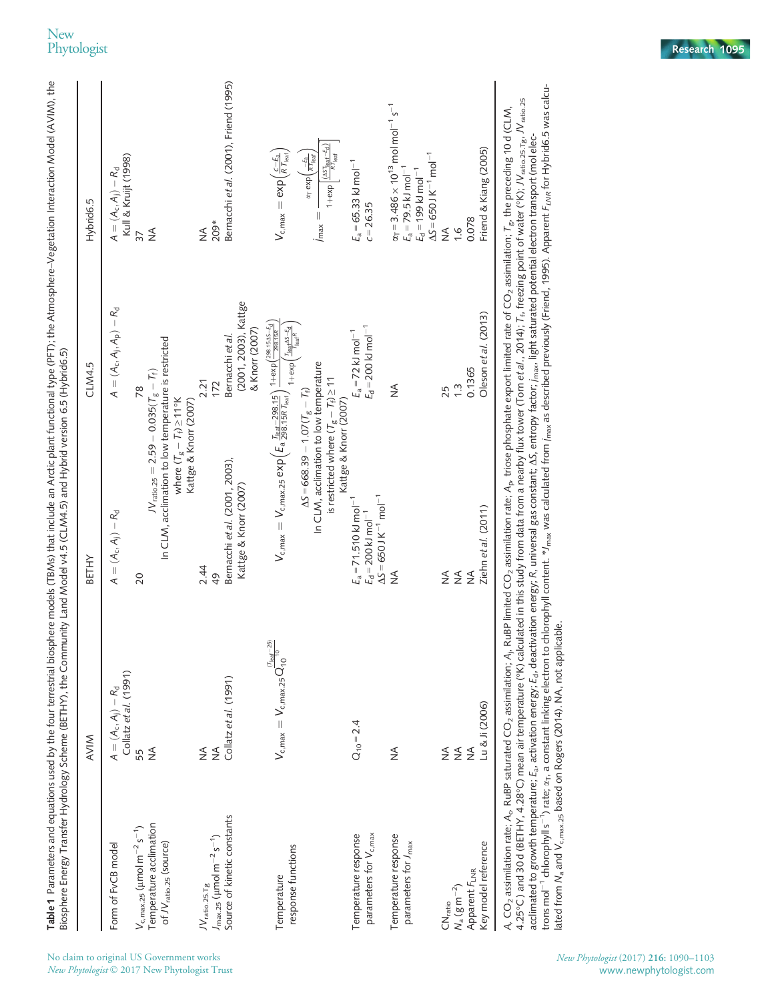|                                                                                            | <b>AVIM</b>                                                                            | <b>BETHY</b>                                                                                                                                                                                                                                                                                              | CLM4.5                                                                           | Hybrid6.5                                                                                                                     |
|--------------------------------------------------------------------------------------------|----------------------------------------------------------------------------------------|-----------------------------------------------------------------------------------------------------------------------------------------------------------------------------------------------------------------------------------------------------------------------------------------------------------|----------------------------------------------------------------------------------|-------------------------------------------------------------------------------------------------------------------------------|
| Form of FvCB model                                                                         | Collatz et al. (1991)<br>$A=(A_c,A_j)-R_d$                                             | $A=(A_c,A_j)-R_d$                                                                                                                                                                                                                                                                                         | $A=(A_c,A_j,A_p)-R_d$                                                            | Kull & Krujt (1998)<br>$A=(A_c,A_i)-R_d$                                                                                      |
| $V_{c, max.25}$ ( $\mu$ mol m <sup>-2</sup> s <sup>-1</sup> )                              | 55                                                                                     | 20                                                                                                                                                                                                                                                                                                        | 78                                                                               | 37                                                                                                                            |
| Temperature acclimation<br>of JV <sub>ratio.25</sub> (source)                              | $\frac{1}{2}$                                                                          | In CLM, acclimation to low temperature is restricted<br>$JV_{\rm ratio, 25} = 2.59 - 0.035 (T_g - T_f)$                                                                                                                                                                                                   |                                                                                  | $\frac{1}{2}$                                                                                                                 |
|                                                                                            |                                                                                        | where $(T_g - T_f) \ge 11^{\circ}$ K<br>Kattge & Knorr (2007)                                                                                                                                                                                                                                             |                                                                                  |                                                                                                                               |
| $\mathcal{W}_{\text{ratio},25.\text{Tg}}$                                                  | ≸                                                                                      | 2.44                                                                                                                                                                                                                                                                                                      | 2.21                                                                             | $\frac{1}{2}$                                                                                                                 |
| Source of kinetic constants<br>$J_{\text{max},25}$ ( $\mu$ mol m $^{-2}$ s <sup>-1</sup> ) | Collatz et al. (1991)<br>$\frac{1}{2}$                                                 | Bernacchi et al. (2001, 2003),<br>Kattge & Knorr (2007)<br>49                                                                                                                                                                                                                                             | (2001, 2003), Kattge<br>& Knorr (2007)<br>Bernacchi et al.<br>172                | Bernacchi et al. (2001), Friend (1995)<br>209*                                                                                |
|                                                                                            | $\frac{(T_{\text{leaf}} - 25)}{10}$                                                    |                                                                                                                                                                                                                                                                                                           |                                                                                  |                                                                                                                               |
| response functions<br>Temperature                                                          | $\mathcal{V}_{\mathsf{c,max}}=\mathcal{V}_{\mathsf{c,max.25}}\mathsf{Q}_{\mathsf{10}}$ | $\mathsf{V}_{\mathsf{c},\mathsf{max}} = \mathsf{V}_{\mathsf{c},\mathsf{max},25} \exp\Bigl( E_{\mathsf{a}} \tfrac{I_{\mathsf{test}} - 298.15}{298.15R} \Bigr) \tfrac{1+\exp\bigl( \tfrac{298.155-\xi_0}{2815R} \bigr)}{I_{\mathsf{r}_\mathsf{r}_\mathsf{r},\mathsf{r}_\mathsf{r},\mathsf{r}_\mathsf{r}}}.$ | $1+e\times p\left(\frac{T_{\text{leaf}}\Delta S - E_d}{T_{\text{leaf}}R}\right)$ | $V_{\rm c,max}={\rm exp}(\frac{c-E_{\rm a}}{R\,T_{\rm leaf}})$                                                                |
|                                                                                            |                                                                                        | In CLM, acclimation to low temperature<br>$\Delta S = 668.39 - 1.07(T_g - T_f)$                                                                                                                                                                                                                           |                                                                                  | $\alpha$ <sub>T</sub> exp $\left(\frac{-E_a}{R T_{\text{leaf}}} \right)$<br>$\mathsf{Imax} =$                                 |
|                                                                                            |                                                                                        | is restricted where $(T_g - T_f) \ge 11$<br>Kattge & Knorr (2007)                                                                                                                                                                                                                                         |                                                                                  | $1 + \exp\left[\frac{(\Delta S T_{\text{leaf}} - E_{\text{d}})}{R \ T_{\text{leaf}}}\right]$                                  |
| Temperature response                                                                       | $Q_{10} = 2.4$                                                                         | $E_a = 71.510$ kJ mol <sup>-1</sup>                                                                                                                                                                                                                                                                       | $E_a = 72$ kJ mol <sup>-1</sup>                                                  | $E_a = 65.33$ kJ mol <sup>-1</sup>                                                                                            |
| parameters for V <sub>c.max</sub>                                                          |                                                                                        | $\Delta S = 650$ J K <sup>-1</sup> mol <sup>-1</sup><br>$E_{\rm d}$ = 200 kJ mol <sup>-1</sup>                                                                                                                                                                                                            | $E_d = 200$ kJ mol <sup>-1</sup>                                                 | $c = 26.35$                                                                                                                   |
| Temperature response                                                                       | ≸                                                                                      | $\frac{1}{2}$                                                                                                                                                                                                                                                                                             | $\frac{1}{2}$                                                                    | $\alpha_T = 3.486 \times 10^{13}$ mol mol <sup>-1</sup> s <sup>-1</sup>                                                       |
| parameters for J <sub>max</sub>                                                            |                                                                                        |                                                                                                                                                                                                                                                                                                           |                                                                                  | $\Delta S = 650$ J K <sup>-1</sup> mol <sup>-1</sup><br>$E_a = 79.5$ kJ mol <sup>-1</sup><br>$E_d$ = 199 kJ mol <sup>-1</sup> |
| $\mathsf{CN}_{\mathsf{ratio}}$                                                             | $\frac{1}{2}$                                                                          | ≸                                                                                                                                                                                                                                                                                                         | 25                                                                               | $\frac{1}{2}$                                                                                                                 |
| $N_a (g m^{-2})$                                                                           | $\stackrel{\triangle}{\geq}$                                                           | $\frac{1}{2}$                                                                                                                                                                                                                                                                                             | $\frac{1}{3}$                                                                    | $\frac{9}{7}$                                                                                                                 |
| Apparent FLNR                                                                              | $\lessgtr$                                                                             | $\lessgtr$                                                                                                                                                                                                                                                                                                | 0.1365                                                                           | 0.078                                                                                                                         |
| Key model reference                                                                        | Lu & Ji (2006)                                                                         | Ziehn et al. (2011)                                                                                                                                                                                                                                                                                       | Oleson et al. (2013)                                                             | Friend & Kiang (2005)                                                                                                         |

lated from

 $N_a$  and

 $V_{c,max,25}$  based on Rogers (2014). NA, not applicable.

**Table 1** Parameters and equations used by the four terrestrial biosphere models (TBMs) that include an Arctic plant functional type (PFT); the Atmosphere–Vegetation Interaction Model (AVIM), the

Table 1 Parameters and equations used by the four terrestrial biosphere models (TBMs) that include an Arctic plant functional type (PFT); the Atmosphere–Vegetation Interaction Model (AVIM), the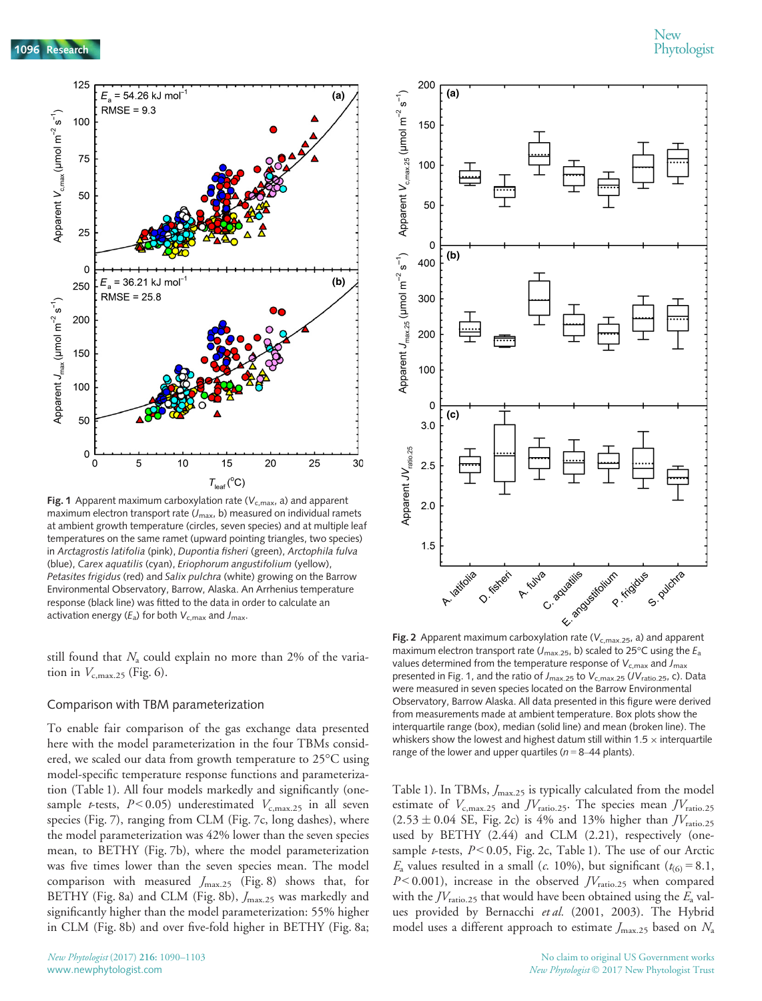

Fig. 1 Apparent maximum carboxylation rate ( $V_{c,max}$ , a) and apparent maximum electron transport rate  $(J_{\text{max}}, b)$  measured on individual ramets at ambient growth temperature (circles, seven species) and at multiple leaf temperatures on the same ramet (upward pointing triangles, two species) in Arctagrostis latifolia (pink), Dupontia fisheri (green), Arctophila fulva (blue), Carex aquatilis (cyan), Eriophorum angustifolium (yellow), Petasites frigidus (red) and Salix pulchra (white) growing on the Barrow Environmental Observatory, Barrow, Alaska. An Arrhenius temperature response (black line) was fitted to the data in order to calculate an activation energy ( $E_a$ ) for both  $V_{c,max}$  and  $J_{max}$ .

still found that  $N_a$  could explain no more than 2% of the variation in  $V_{\text{c,max,25}}$  (Fig. 6).

#### Comparison with TBM parameterization

To enable fair comparison of the gas exchange data presented here with the model parameterization in the four TBMs considered, we scaled our data from growth temperature to 25°C using model-specific temperature response functions and parameterization (Table 1). All four models markedly and significantly (onesample *t*-tests,  $P < 0.05$ ) underestimated  $V_{c,\text{max.25}}$  in all seven species (Fig. 7), ranging from CLM (Fig. 7c, long dashes), where the model parameterization was 42% lower than the seven species mean, to BETHY (Fig. 7b), where the model parameterization was five times lower than the seven species mean. The model comparison with measured  $J_{\text{max.25}}$  (Fig. 8) shows that, for BETHY (Fig. 8a) and CLM (Fig. 8b),  $J_{\text{max.25}}$  was markedly and significantly higher than the model parameterization: 55% higher in CLM (Fig. 8b) and over five-fold higher in BETHY (Fig. 8a;



Fig. 2 Apparent maximum carboxylation rate ( $V_{c,max,25}$ , a) and apparent maximum electron transport rate ( $J_{\text{max.25}}$ , b) scaled to 25°C using the  $E_{\text{a}}$ values determined from the temperature response of  $V_{c,max}$  and  $J_{max}$ presented in Fig. 1, and the ratio of  $J_{\text{max.25}}$  to  $V_{\text{c,max.25}}$  (JV<sub>ratio.25</sub>, c). Data were measured in seven species located on the Barrow Environmental Observatory, Barrow Alaska. All data presented in this figure were derived from measurements made at ambient temperature. Box plots show the interquartile range (box), median (solid line) and mean (broken line). The whiskers show the lowest and highest datum still within 1.5  $\times$  interquartile range of the lower and upper quartiles ( $n = 8-44$  plants).

Table 1). In TBMs,  $J_{\text{max.25}}$  is typically calculated from the model estimate of  $V_{\text{c,max,25}}$  and  $JV_{\text{ratio,25}}$ . The species mean  $JV_{\text{ratio,25}}$  $(2.53 \pm 0.04 \text{ SE}, \text{Fig. 2c})$  is 4% and 13% higher than  $JV_{\text{ratio},25}$ used by BETHY (2.44) and CLM (2.21), respectively (onesample *t*-tests,  $P < 0.05$ , Fig. 2c, Table 1). The use of our Arctic  $E_a$  values resulted in a small (c. 10%), but significant ( $t_{(6)} = 8.1$ ,  $P$  < 0.001), increase in the observed  $JV_{\text{ratio},25}$  when compared with the  $IV<sub>ratio.25</sub>$  that would have been obtained using the  $E<sub>a</sub>$  values provided by Bernacchi et al. (2001, 2003). The Hybrid model uses a different approach to estimate  $J_{\text{max.25}}$  based on  $N_{\text{a}}$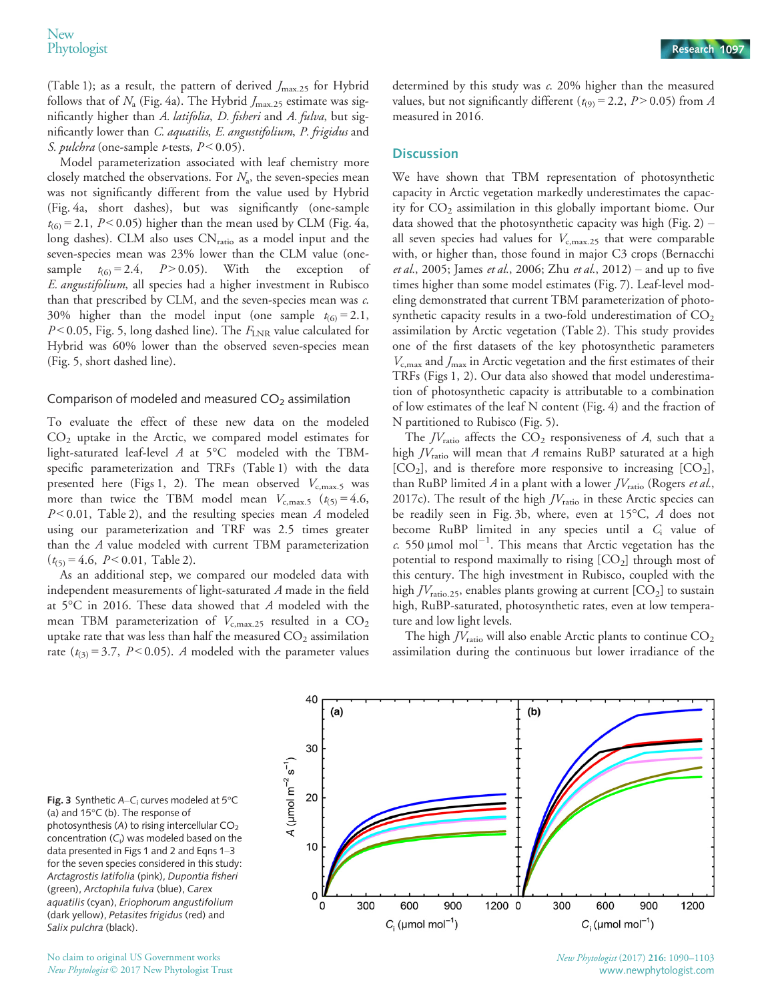(Table 1); as a result, the pattern of derived  $J_{\text{max.25}}$  for Hybrid follows that of  $N_a$  (Fig. 4a). The Hybrid  $J_{\text{max.25}}$  estimate was significantly higher than A. latifolia, D. fisheri and A. fulva, but significantly lower than C. aquatilis, E. angustifolium, P. frigidus and S. pulchra (one-sample t-tests,  $P < 0.05$ ).

Model parameterization associated with leaf chemistry more closely matched the observations. For  $N_a$ , the seven-species mean was not significantly different from the value used by Hybrid (Fig. 4a, short dashes), but was significantly (one-sample  $t_{(6)} = 2.1$ ,  $P < 0.05$ ) higher than the mean used by CLM (Fig. 4a, long dashes). CLM also uses  $CN<sub>ratio</sub>$  as a model input and the seven-species mean was 23% lower than the CLM value (onesample  $t_{(6)} = 2.4$ ,  $P > 0.05$ ). With the exception E. angustifolium, all species had a higher investment in Rubisco than that prescribed by CLM, and the seven-species mean was c. 30% higher than the model input (one sample  $t_{(6)} = 2.1$ ,  $P$  < 0.05, Fig. 5, long dashed line). The  $F_{\text{LNR}}$  value calculated for Hybrid was 60% lower than the observed seven-species mean (Fig. 5, short dashed line).

#### Comparison of modeled and measured  $CO<sub>2</sub>$  assimilation

To evaluate the effect of these new data on the modeled CO2 uptake in the Arctic, we compared model estimates for light-saturated leaf-level  $A$  at  $5^{\circ}$ C modeled with the TBMspecific parameterization and TRFs (Table 1) with the data presented here (Figs 1, 2). The mean observed  $V_{c,\text{max.5}}$  was more than twice the TBM model mean  $V_{c,\text{max.5}}$  ( $t_{(5)} = 4.6$ ,  $P < 0.01$ , Table 2), and the resulting species mean A modeled using our parameterization and TRF was 2.5 times greater than the A value modeled with current TBM parameterization  $(t_{(5)} = 4.6, P < 0.01,$  Table 2).

As an additional step, we compared our modeled data with independent measurements of light-saturated A made in the field at 5°C in 2016. These data showed that A modeled with the mean TBM parameterization of  $V_{c,\text{max.25}}$  resulted in a  $CO_2$ uptake rate that was less than half the measured  $CO<sub>2</sub>$  assimilation rate ( $t_{(3)} = 3.7$ ,  $P < 0.05$ ). A modeled with the parameter values determined by this study was c. 20% higher than the measured values, but not significantly different ( $t_{(9)} = 2.2$ ,  $P > 0.05$ ) from A measured in 2016.

#### **Discussion**

We have shown that TBM representation of photosynthetic capacity in Arctic vegetation markedly underestimates the capacity for  $CO<sub>2</sub>$  assimilation in this globally important biome. Our data showed that the photosynthetic capacity was high (Fig.  $2$ ) – all seven species had values for  $V_{c,\text{max.25}}$  that were comparable with, or higher than, those found in major C3 crops (Bernacchi *et al.*, 2005; James *et al.*, 2006; Zhu *et al.*, 2012) – and up to five times higher than some model estimates (Fig. 7). Leaf-level modeling demonstrated that current TBM parameterization of photosynthetic capacity results in a two-fold underestimation of  $CO<sub>2</sub>$ assimilation by Arctic vegetation (Table 2). This study provides one of the first datasets of the key photosynthetic parameters  $V_{\rm c,max}$  and  $J_{\rm max}$  in Arctic vegetation and the first estimates of their TRFs (Figs 1, 2). Our data also showed that model underestimation of photosynthetic capacity is attributable to a combination of low estimates of the leaf N content (Fig. 4) and the fraction of N partitioned to Rubisco (Fig. 5).

The  $JV_{\text{ratio}}$  affects the  $CO_2$  responsiveness of A, such that a high  $JV_{\text{ratio}}$  will mean that A remains RuBP saturated at a high  $[CO<sub>2</sub>]$ , and is therefore more responsive to increasing  $[CO<sub>2</sub>]$ , than RuBP limited  $A$  in a plant with a lower  $JV_{\text{ratio}}$  (Rogers et al., 2017c). The result of the high  $JV_{\text{ratio}}$  in these Arctic species can be readily seen in Fig. 3b, where, even at 15°C, A does not become RuBP limited in any species until a  $C_i$  value of c. 550  $\mu$ mol mol<sup>-1</sup>. This means that Arctic vegetation has the potential to respond maximally to rising  $[CO<sub>2</sub>]$  through most of this century. The high investment in Rubisco, coupled with the high  $JV_{\text{ratio},25}$ , enables plants growing at current  $[CO_2]$  to sustain high, RuBP-saturated, photosynthetic rates, even at low temperature and low light levels.

The high  $JV_{\text{ratio}}$  will also enable Arctic plants to continue  $CO_2$ assimilation during the continuous but lower irradiance of the

Fig. 3 Synthetic A–C<sub>i</sub> curves modeled at  $5^{\circ}$ C (a) and 15°C (b). The response of photosynthesis (A) to rising intercellular CO<sub>2</sub> concentration (C $_{\rm i}$ ) was modeled based on the data presented in Figs 1 and 2 and Eqns 1–3 for the seven species considered in this study: Arctagrostis latifolia (pink), Dupontia fisheri (green), Arctophila fulva (blue), Carex aquatilis (cyan), Eriophorum angustifolium (dark yellow), Petasites frigidus (red) and Salix pulchra (black).

No claim to original US Government works New Phytologist © 2017 New Phytologist Trust



New Phytologist (2017) 216: 1090–1103 www.newphytologist.com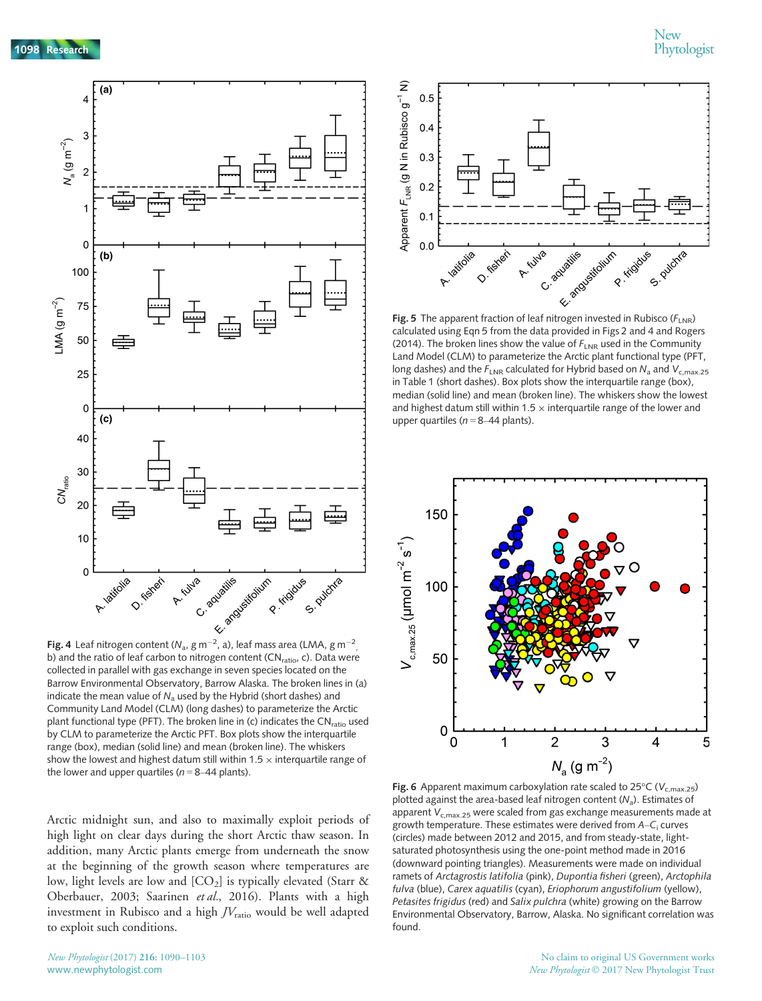

**Fig. 4** Leaf nitrogen content (N<sub>a</sub>, g m $^{-2}$ , a), leaf mass area (LMA, g m $^{-2}$ **Fig. 4** Lear introgen content ( $N_a$ , g in  $\tau$  , a), lear mass area (LIVIA, g in  $\tau$ <br>b) and the ratio of leaf carbon to nitrogen content (CN<sub>ratio</sub>, c). Data were collected in parallel with gas exchange in seven species located on the Barrow Environmental Observatory, Barrow Alaska. The broken lines in (a) indicate the mean value of  $N_a$  used by the Hybrid (short dashes) and Community Land Model (CLM) (long dashes) to parameterize the Arctic plant functional type (PFT). The broken line in (c) indicates the  $CN<sub>ratio</sub>$  used by CLM to parameterize the Arctic PFT. Box plots show the interquartile range (box), median (solid line) and mean (broken line). The whiskers show the lowest and highest datum still within 1.5  $\times$  interquartile range of the lower and upper quartiles ( $n = 8-44$  plants).

Arctic midnight sun, and also to maximally exploit periods of high light on clear days during the short Arctic thaw season. In addition, many Arctic plants emerge from underneath the snow at the beginning of the growth season where temperatures are low, light levels are low and  $[CO_2]$  is typically elevated (Starr & Oberbauer, 2003; Saarinen et al., 2016). Plants with a high investment in Rubisco and a high  $JV_{\text{ratio}}$  would be well adapted to exploit such conditions.



calculated using Eqn 5 from the data provided in Figs 2 and 4 and Rogers (2014). The broken lines show the value of  $F_{\text{LNR}}$  used in the Community Land Model (CLM) to parameterize the Arctic plant functional type (PFT, long dashes) and the  $F_{LNR}$  calculated for Hybrid based on  $N_a$  and  $V_{c,max,25}$ in Table 1 (short dashes). Box plots show the interquartile range (box), median (solid line) and mean (broken line). The whiskers show the lowest and highest datum still within 1.5  $\times$  interquartile range of the lower and upper quartiles ( $n = 8-44$  plants).



Fig. 6 Apparent maximum carboxylation rate scaled to 25 $\rm{°C}$  (V<sub>c.max.25</sub>) plotted against the area-based leaf nitrogen content ( $N_a$ ). Estimates of apparent  $V_{c,max.25}$  were scaled from gas exchange measurements made at growth temperature. These estimates were derived from  $A-C<sub>i</sub>$  curves (circles) made between 2012 and 2015, and from steady-state, lightsaturated photosynthesis using the one-point method made in 2016 (downward pointing triangles). Measurements were made on individual ramets of Arctagrostis latifolia (pink), Dupontia fisheri (green), Arctophila fulva (blue), Carex aquatilis (cyan), Eriophorum angustifolium (yellow), Petasites frigidus (red) and Salix pulchra (white) growing on the Barrow Environmental Observatory, Barrow, Alaska. No significant correlation was found.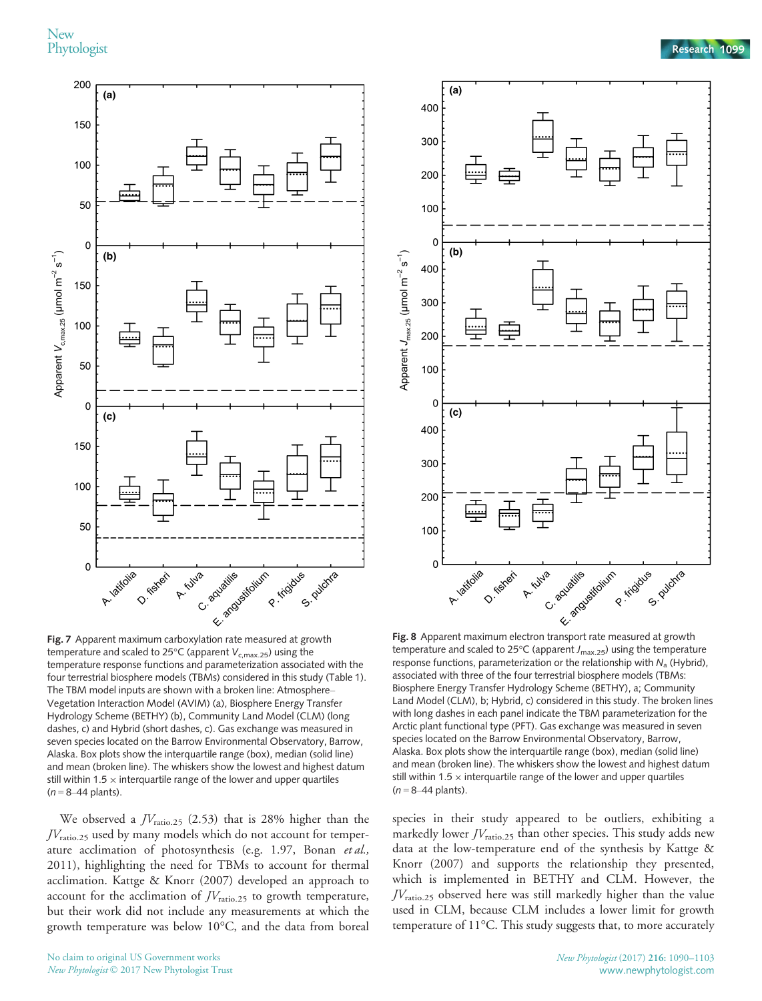



Fig. 7 Apparent maximum carboxylation rate measured at growth temperature and scaled to 25°C (apparent  $V_{c,\text{max.25}}$ ) using the temperature response functions and parameterization associated with the four terrestrial biosphere models (TBMs) considered in this study (Table 1). The TBM model inputs are shown with a broken line: Atmosphere– Vegetation Interaction Model (AVIM) (a), Biosphere Energy Transfer Hydrology Scheme (BETHY) (b), Community Land Model (CLM) (long dashes, c) and Hybrid (short dashes, c). Gas exchange was measured in seven species located on the Barrow Environmental Observatory, Barrow, Alaska. Box plots show the interquartile range (box), median (solid line) and mean (broken line). The whiskers show the lowest and highest datum still within 1.5  $\times$  interquartile range of the lower and upper quartiles  $(n = 8-44$  plants).

We observed a  $JV_{\text{ratio},25}$  (2.53) that is 28% higher than the  $JV_{\text{ratio},25}$  used by many models which do not account for temperature acclimation of photosynthesis (e.g. 1.97, Bonan et al., 2011), highlighting the need for TBMs to account for thermal acclimation. Kattge & Knorr (2007) developed an approach to account for the acclimation of  $JV_{\text{ratio},25}$  to growth temperature, but their work did not include any measurements at which the growth temperature was below 10°C, and the data from boreal

temperature and scaled to 25 $\degree$ C (apparent  $J_{\text{max,25}}$ ) using the temperature response functions, parameterization or the relationship with  $N_a$  (Hybrid), associated with three of the four terrestrial biosphere models (TBMs: Biosphere Energy Transfer Hydrology Scheme (BETHY), a; Community Land Model (CLM), b; Hybrid, c) considered in this study. The broken lines with long dashes in each panel indicate the TBM parameterization for the Arctic plant functional type (PFT). Gas exchange was measured in seven species located on the Barrow Environmental Observatory, Barrow, Alaska. Box plots show the interquartile range (box), median (solid line) and mean (broken line). The whiskers show the lowest and highest datum still within 1.5  $\times$  interquartile range of the lower and upper quartiles  $(n = 8-44$  plants).

species in their study appeared to be outliers, exhibiting a markedly lower  $JV_{\rm ratio,25}$  than other species. This study adds new data at the low-temperature end of the synthesis by Kattge & Knorr (2007) and supports the relationship they presented, which is implemented in BETHY and CLM. However, the  $JV_{\text{ratio},25}$  observed here was still markedly higher than the value used in CLM, because CLM includes a lower limit for growth temperature of 11°C. This study suggests that, to more accurately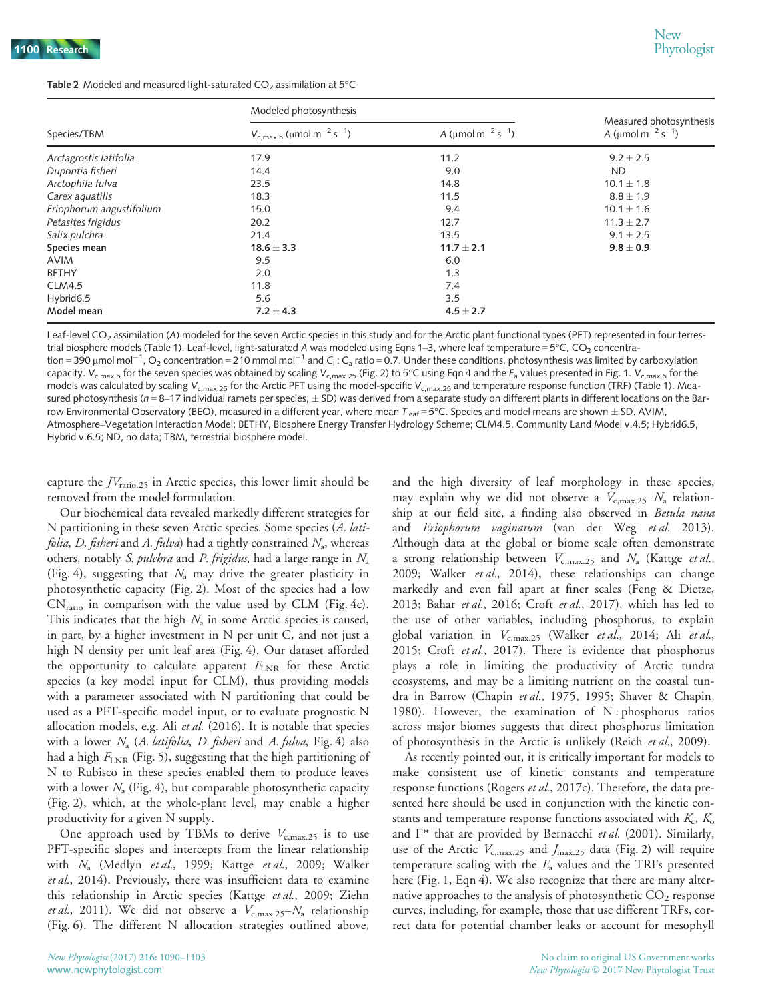| <b>Table 2</b> Modeled and measured light-saturated $CO2$ assimilation at 5°C |  |
|-------------------------------------------------------------------------------|--|
|-------------------------------------------------------------------------------|--|

| Species/TBM              | Modeled photosynthesis                                 |                                                 |                                                                            |
|--------------------------|--------------------------------------------------------|-------------------------------------------------|----------------------------------------------------------------------------|
|                          | $V_{c, max.5}$ (µmol m <sup>-2</sup> s <sup>-1</sup> ) | A ( $\mu$ mol m <sup>-2</sup> s <sup>-1</sup> ) | Measured photosynthesis<br>A ( $\mu$ mol m <sup>-2</sup> s <sup>-1</sup> ) |
| Arctagrostis latifolia   | 17.9                                                   | 11.2                                            | $9.2 \pm 2.5$                                                              |
| Dupontia fisheri         | 14.4                                                   | 9.0                                             | <b>ND</b>                                                                  |
| Arctophila fulva         | 23.5                                                   | 14.8                                            | $10.1 \pm 1.8$                                                             |
| Carex aquatilis          | 18.3                                                   | 11.5                                            | $8.8 \pm 1.9$                                                              |
| Eriophorum angustifolium | 15.0                                                   | 9.4                                             | $10.1 \pm 1.6$                                                             |
| Petasites frigidus       | 20.2                                                   | 12.7                                            | $11.3 \pm 2.7$                                                             |
| Salix pulchra            | 21.4                                                   | 13.5                                            | $9.1 \pm 2.5$                                                              |
| Species mean             | $18.6 \pm 3.3$                                         | $11.7 \pm 2.1$                                  | $9.8 \pm 0.9$                                                              |
| <b>AVIM</b>              | 9.5                                                    | 6.0                                             |                                                                            |
| <b>BETHY</b>             | 2.0                                                    | 1.3                                             |                                                                            |
| <b>CLM4.5</b>            | 11.8                                                   | 7.4                                             |                                                                            |
| Hybrid6.5                | 5.6                                                    | 3.5                                             |                                                                            |
| Model mean               | $7.2 \pm 4.3$                                          | $4.5 \pm 2.7$                                   |                                                                            |

Leaf-level  $CO<sub>2</sub>$  assimilation (A) modeled for the seven Arctic species in this study and for the Arctic plant functional types (PFT) represented in four terrestrial biosphere models (Table 1). Leaf-level, light-saturated A was modeled using Eqns 1-3, where leaf temperature = 5°C, CO<sub>2</sub> concentration = 390  $\mu$ mol mol $^{-1}$ , O $_2$  concentration = 210 mmol mol $^{-1}$  and C $_{\rm i}$  : C $_{\rm a}$  ratio = 0.7. Under these conditions, photosynthesis was limited by carboxylation capacity.  $V_{c,max.5}$  for the seven species was obtained by scaling  $V_{c,max.25}$  (Fig. 2) to 5°C using Eqn 4 and the  $E_a$  values presented in Fig. 1.  $V_{c,max.5}$  for the models was calculated by scaling  $V_{cmax,25}$  for the Arctic PFT using the model-specific  $V_{cmax,25}$  and temperature response function (TRF) (Table 1). Measured photosynthesis ( $n = 8-17$  individual ramets per species,  $\pm$  SD) was derived from a separate study on different plants in different locations on the Barrow Environmental Observatory (BEO), measured in a different year, where mean  $T_{\text{leaf}} = 5^{\circ}$ C. Species and model means are shown  $\pm$  SD. AVIM, Atmosphere–Vegetation Interaction Model; BETHY, Biosphere Energy Transfer Hydrology Scheme; CLM4.5, Community Land Model v.4.5; Hybrid6.5, Hybrid v.6.5; ND, no data; TBM, terrestrial biosphere model.

capture the  $JV_{\text{ratio},25}$  in Arctic species, this lower limit should be removed from the model formulation.

Our biochemical data revealed markedly different strategies for N partitioning in these seven Arctic species. Some species (A. lati*folia*, *D. fisheri* and *A. fulva*) had a tightly constrained  $N_a$ , whereas others, notably S. pulchra and P. frigidus, had a large range in  $N_a$ (Fig. 4), suggesting that  $N_a$  may drive the greater plasticity in photosynthetic capacity (Fig. 2). Most of the species had a low  $CN<sub>ratio</sub>$  in comparison with the value used by CLM (Fig. 4c). This indicates that the high  $N_a$  in some Arctic species is caused, in part, by a higher investment in N per unit C, and not just a high N density per unit leaf area (Fig. 4). Our dataset afforded the opportunity to calculate apparent  $F_{\text{LNR}}$  for these Arctic species (a key model input for CLM), thus providing models with a parameter associated with N partitioning that could be used as a PFT-specific model input, or to evaluate prognostic N allocation models, e.g. Ali et al.  $(2016)$ . It is notable that species with a lower  $N_a$  (A. latifolia, D. fisheri and A. fulva, Fig. 4) also had a high  $F_{\text{LNR}}$  (Fig. 5), suggesting that the high partitioning of N to Rubisco in these species enabled them to produce leaves with a lower  $N_a$  (Fig. 4), but comparable photosynthetic capacity (Fig. 2), which, at the whole-plant level, may enable a higher productivity for a given N supply.

One approach used by TBMs to derive  $V_{c,\text{max.25}}$  is to use PFT-specific slopes and intercepts from the linear relationship with N<sub>a</sub> (Medlyn et al., 1999; Kattge et al., 2009; Walker et al., 2014). Previously, there was insufficient data to examine this relationship in Arctic species (Kattge et al., 2009; Ziehn *et al.*, 2011). We did not observe a  $V_{c,\text{max.25}}-N_a$  relationship (Fig. 6). The different N allocation strategies outlined above,

and the high diversity of leaf morphology in these species, may explain why we did not observe a  $V_{c,\text{max.25}}-N_a$  relationship at our field site, a finding also observed in Betula nana and Eriophorum vaginatum (van der Weg et al. 2013). Although data at the global or biome scale often demonstrate a strong relationship between  $V_{\text{c,max},25}$  and  $N_a$  (Kattge *et al.*, 2009; Walker et al., 2014), these relationships can change markedly and even fall apart at finer scales (Feng & Dietze, 2013; Bahar et al., 2016; Croft et al., 2017), which has led to the use of other variables, including phosphorus, to explain global variation in  $V_{\text{c,max},25}$  (Walker et al., 2014; Ali et al., 2015; Croft et al., 2017). There is evidence that phosphorus plays a role in limiting the productivity of Arctic tundra ecosystems, and may be a limiting nutrient on the coastal tundra in Barrow (Chapin et al., 1975, 1995; Shaver & Chapin, 1980). However, the examination of N: phosphorus ratios across major biomes suggests that direct phosphorus limitation of photosynthesis in the Arctic is unlikely (Reich et al., 2009).

As recently pointed out, it is critically important for models to make consistent use of kinetic constants and temperature response functions (Rogers et al., 2017c). Therefore, the data presented here should be used in conjunction with the kinetic constants and temperature response functions associated with  $K_c$ ,  $K_o$ and  $\Gamma^*$  that are provided by Bernacchi et al. (2001). Similarly, use of the Arctic  $V_{c,\text{max.25}}$  and  $J_{\text{max.25}}$  data (Fig. 2) will require temperature scaling with the  $E_a$  values and the TRFs presented here (Fig. 1, Eqn 4). We also recognize that there are many alternative approaches to the analysis of photosynthetic  $CO<sub>2</sub>$  response curves, including, for example, those that use different TRFs, correct data for potential chamber leaks or account for mesophyll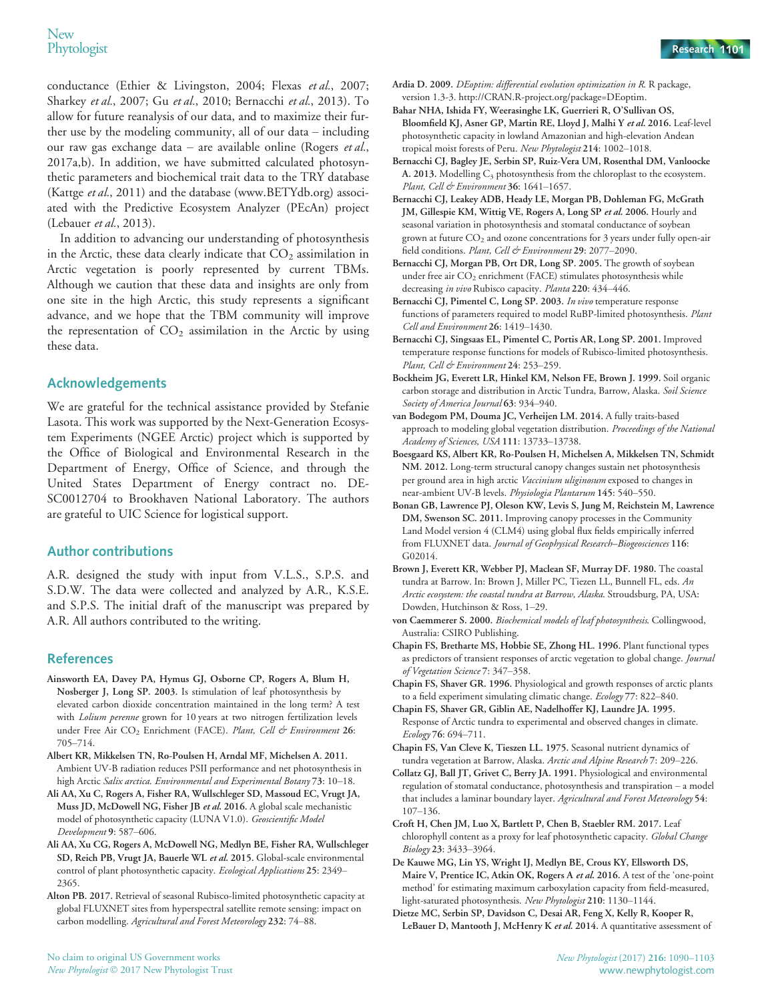conductance (Ethier & Livingston, 2004; Flexas et al., 2007; Sharkey et al., 2007; Gu et al., 2010; Bernacchi et al., 2013). To allow for future reanalysis of our data, and to maximize their further use by the modeling community, all of our data – including our raw gas exchange data – are available online (Rogers et al., 2017a,b). In addition, we have submitted calculated photosynthetic parameters and biochemical trait data to the TRY database (Kattge et al., 2011) and the database [\(www.BETYdb.org\)](http://www.BETYdb.org) associated with the Predictive Ecosystem Analyzer (PEcAn) project (Lebauer et al., 2013).

In addition to advancing our understanding of photosynthesis in the Arctic, these data clearly indicate that  $CO<sub>2</sub>$  assimilation in Arctic vegetation is poorly represented by current TBMs. Although we caution that these data and insights are only from one site in the high Arctic, this study represents a significant advance, and we hope that the TBM community will improve the representation of  $CO<sub>2</sub>$  assimilation in the Arctic by using these data.

## Acknowledgements

We are grateful for the technical assistance provided by Stefanie Lasota. This work was supported by the Next-Generation Ecosystem Experiments (NGEE Arctic) project which is supported by the Office of Biological and Environmental Research in the Department of Energy, Office of Science, and through the United States Department of Energy contract no. DE-SC0012704 to Brookhaven National Laboratory. The authors are grateful to UIC Science for logistical support.

## Author contributions

A.R. designed the study with input from V.L.S., S.P.S. and S.D.W. The data were collected and analyzed by A.R., K.S.E. and S.P.S. The initial draft of the manuscript was prepared by A.R. All authors contributed to the writing.

## References

- Ainsworth EA, Davey PA, Hymus GJ, Osborne CP, Rogers A, Blum H, Nosberger J, Long SP. 2003. Is stimulation of leaf photosynthesis by elevated carbon dioxide concentration maintained in the long term? A test with *Lolium perenne* grown for 10 years at two nitrogen fertilization levels under Free Air CO<sub>2</sub> Enrichment (FACE). Plant, Cell & Environment 26: 705–714.
- Albert KR, Mikkelsen TN, Ro-Poulsen H, Arndal MF, Michelsen A. 2011. Ambient UV-B radiation reduces PSII performance and net photosynthesis in high Arctic Salix arctica. Environmental and Experimental Botany 73: 10-18.
- Ali AA, Xu C, Rogers A, Fisher RA, Wullschleger SD, Massoud EC, Vrugt JA, Muss JD, McDowell NG, Fisher JB et al. 2016. A global scale mechanistic model of photosynthetic capacity (LUNA V1.0). Geoscientific Model Development 9: 587–606.
- Ali AA, Xu CG, Rogers A, McDowell NG, Medlyn BE, Fisher RA, Wullschleger SD, Reich PB, Vrugt JA, Bauerle WL et al. 2015. Global-scale environmental control of plant photosynthetic capacity. Ecological Applications 25: 2349-2365.
- Alton PB. 2017. Retrieval of seasonal Rubisco-limited photosynthetic capacity at global FLUXNET sites from hyperspectral satellite remote sensing: impact on carbon modelling. Agricultural and Forest Meteorology 232: 74–88.
- Ardia D. 2009. DEoptim: differential evolution optimization in R. R package, version 1.3-3. [http://CRAN.R-project.org/package=DEoptim.](http://CRAN.R-project.org/package=DEoptim)
- Bahar NHA, Ishida FY, Weerasinghe LK, Guerrieri R, O'Sullivan OS, Bloomfield KJ, Asner GP, Martin RE, Lloyd J, Malhi Y et al. 2016. Leaf-level photosynthetic capacity in lowland Amazonian and high-elevation Andean tropical moist forests of Peru. New Phytologist 214: 1002–1018.
- Bernacchi CJ, Bagley JE, Serbin SP, Ruiz-Vera UM, Rosenthal DM, Vanloocke A. 2013. Modelling  $C_3$  photosynthesis from the chloroplast to the ecosystem. Plant, Cell & Environment 36: 1641-1657.
- Bernacchi CJ, Leakey ADB, Heady LE, Morgan PB, Dohleman FG, McGrath JM, Gillespie KM, Wittig VE, Rogers A, Long SP et al. 2006. Hourly and seasonal variation in photosynthesis and stomatal conductance of soybean grown at future  $CO<sub>2</sub>$  and ozone concentrations for 3 years under fully open-air field conditions. Plant, Cell & Environment 29: 2077-2090.
- Bernacchi CJ, Morgan PB, Ort DR, Long SP. 2005. The growth of soybean under free air CO<sub>2</sub> enrichment (FACE) stimulates photosynthesis while decreasing in vivo Rubisco capacity. Planta 220: 434-446.
- Bernacchi CJ, Pimentel C, Long SP. 2003. In vivo temperature response functions of parameters required to model RuBP-limited photosynthesis. Plant Cell and Environment 26: 1419–1430.
- Bernacchi CJ, Singsaas EL, Pimentel C, Portis AR, Long SP. 2001. Improved temperature response functions for models of Rubisco-limited photosynthesis. Plant, Cell & Environment 24: 253-259.
- Bockheim JG, Everett LR, Hinkel KM, Nelson FE, Brown J. 1999. Soil organic carbon storage and distribution in Arctic Tundra, Barrow, Alaska. Soil Science Society of America Journal 63: 934-940.
- van Bodegom PM, Douma JC, Verheijen LM. 2014. A fully traits-based approach to modeling global vegetation distribution. Proceedings of the National Academy of Sciences, USA 111: 13733–13738.
- Boesgaard KS, Albert KR, Ro-Poulsen H, Michelsen A, Mikkelsen TN, Schmidt NM. 2012. Long-term structural canopy changes sustain net photosynthesis per ground area in high arctic Vaccinium uliginosum exposed to changes in near-ambient UV-B levels. Physiologia Plantarum 145: 540–550.
- Bonan GB, Lawrence PJ, Oleson KW, Levis S, Jung M, Reichstein M, Lawrence DM, Swenson SC. 2011. Improving canopy processes in the Community Land Model version 4 (CLM4) using global flux fields empirically inferred from FLUXNET data. Journal of Geophysical Research–Biogeosciences 116: G02014.
- Brown J, Everett KR, Webber PJ, Maclean SF, Murray DF. 1980. The coastal tundra at Barrow. In: Brown J, Miller PC, Tiezen LL, Bunnell FL, eds. An Arctic ecosystem: the coastal tundra at Barrow, Alaska. Stroudsburg, PA, USA: Dowden, Hutchinson & Ross, 1–29.
- von Caemmerer S. 2000. Biochemical models of leaf photosynthesis. Collingwood, Australia: CSIRO Publishing.
- Chapin FS, Bretharte MS, Hobbie SE, Zhong HL. 1996. Plant functional types as predictors of transient responses of arctic vegetation to global change. Journal of Vegetation Science 7: 347–358.
- Chapin FS, Shaver GR. 1996. Physiological and growth responses of arctic plants to a field experiment simulating climatic change. Ecology 77: 822–840.
- Chapin FS, Shaver GR, Giblin AE, Nadelhoffer KJ, Laundre JA. 1995. Response of Arctic tundra to experimental and observed changes in climate. Ecology 76: 694–711.
- Chapin FS, Van Cleve K, Tieszen LL. 1975. Seasonal nutrient dynamics of tundra vegetation at Barrow, Alaska. Arctic and Alpine Research 7: 209-226.
- Collatz GJ, Ball JT, Grivet C, Berry JA. 1991. Physiological and environmental regulation of stomatal conductance, photosynthesis and transpiration – a model that includes a laminar boundary layer. Agricultural and Forest Meteorology 54: 107–136.
- Croft H, Chen JM, Luo X, Bartlett P, Chen B, Staebler RM. 2017. Leaf chlorophyll content as a proxy for leaf photosynthetic capacity. Global Change Biology 23: 3433–3964.
- De Kauwe MG, Lin YS, Wright IJ, Medlyn BE, Crous KY, Ellsworth DS, Maire V, Prentice IC, Atkin OK, Rogers A et al. 2016. A test of the 'one-point method' for estimating maximum carboxylation capacity from field-measured, light-saturated photosynthesis. New Phytologist 210: 1130–1144.
- Dietze MC, Serbin SP, Davidson C, Desai AR, Feng X, Kelly R, Kooper R, LeBauer D, Mantooth J, McHenry K et al. 2014. A quantitative assessment of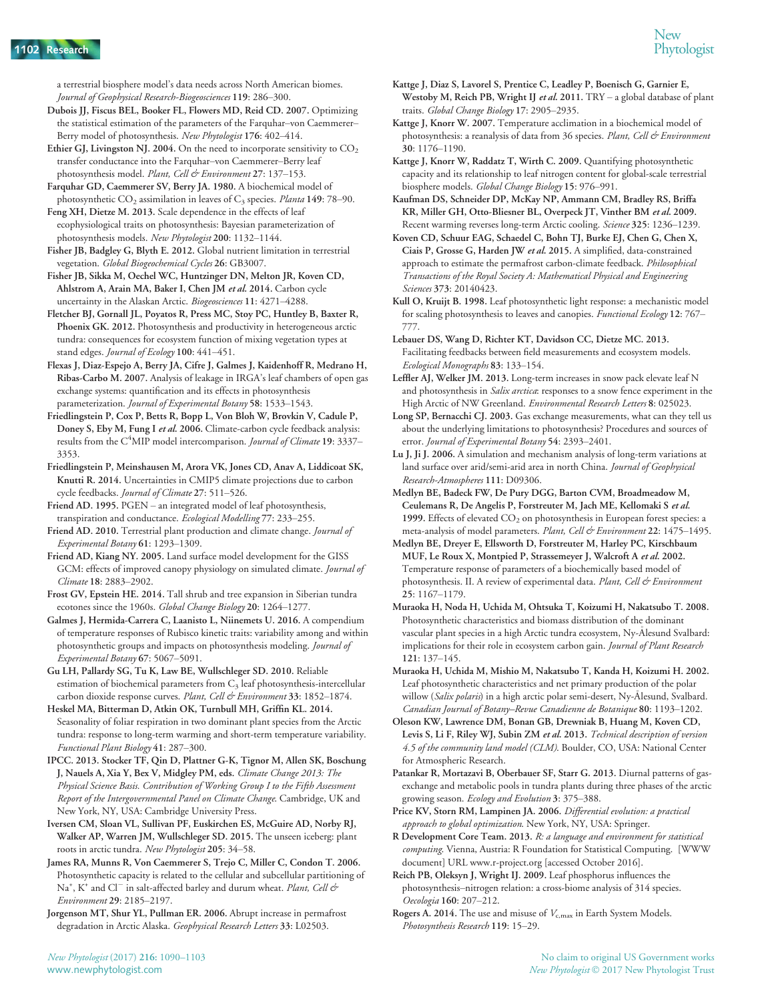a terrestrial biosphere model's data needs across North American biomes. Journal of Geophysical Research-Biogeosciences 119: 286–300.

- Dubois JJ, Fiscus BEL, Booker FL, Flowers MD, Reid CD. 2007. Optimizing the statistical estimation of the parameters of the Farquhar–von Caemmerer– Berry model of photosynthesis. New Phytologist 176: 402–414.
- Ethier GJ, Livingston NJ. 2004. On the need to incorporate sensitivity to  $CO<sub>2</sub>$ transfer conductance into the Farquhar–von Caemmerer–Berry leaf photosynthesis model. Plant, Cell & Environment 27: 137-153.
- Farquhar GD, Caemmerer SV, Berry JA. 1980. A biochemical model of photosynthetic  $CO_2$  assimilation in leaves of  $C_3$  species. Planta 149: 78–90.
- Feng XH, Dietze M. 2013. Scale dependence in the effects of leaf ecophysiological traits on photosynthesis: Bayesian parameterization of photosynthesis models. New Phytologist 200: 1132–1144.
- Fisher JB, Badgley G, Blyth E. 2012. Global nutrient limitation in terrestrial vegetation. Global Biogeochemical Cycles 26: GB3007.
- Fisher JB, Sikka M, Oechel WC, Huntzinger DN, Melton JR, Koven CD, Ahlstrom A, Arain MA, Baker I, Chen JM et al. 2014. Carbon cycle uncertainty in the Alaskan Arctic. Biogeosciences 11: 4271–4288.
- Fletcher BJ, Gornall JL, Poyatos R, Press MC, Stoy PC, Huntley B, Baxter R, Phoenix GK. 2012. Photosynthesis and productivity in heterogeneous arctic tundra: consequences for ecosystem function of mixing vegetation types at stand edges. Journal of Ecology 100: 441-451.
- Flexas J, Diaz-Espejo A, Berry JA, Cifre J, Galmes J, Kaidenhoff R, Medrano H, Ribas-Carbo M. 2007. Analysis of leakage in IRGA's leaf chambers of open gas exchange systems: quantification and its effects in photosynthesis parameterization. Journal of Experimental Botany 58: 1533-1543.
- Friedlingstein P, Cox P, Betts R, Bopp L, Von Bloh W, Brovkin V, Cadule P, Doney S, Eby M, Fung I et al. 2006. Climate-carbon cycle feedback analysis: results from the C<sup>4</sup>MIP model intercomparison. Journal of Climate 19: 3337-3353.
- Friedlingstein P, Meinshausen M, Arora VK, Jones CD, Anav A, Liddicoat SK, Knutti R. 2014. Uncertainties in CMIP5 climate projections due to carbon cycle feedbacks. Journal of Climate 27: 511-526.
- Friend AD. 1995. PGEN an integrated model of leaf photosynthesis, transpiration and conductance. Ecological Modelling 77: 233–255.
- Friend AD. 2010. Terrestrial plant production and climate change. Journal of Experimental Botany 61: 1293–1309.
- Friend AD, Kiang NY. 2005. Land surface model development for the GISS GCM: effects of improved canopy physiology on simulated climate. Journal of Climate 18: 2883–2902.
- Frost GV, Epstein HE. 2014. Tall shrub and tree expansion in Siberian tundra ecotones since the 1960s. Global Change Biology 20: 1264-1277.
- Galmes J, Hermida-Carrera C, Laanisto L, Niinemets U. 2016. A compendium of temperature responses of Rubisco kinetic traits: variability among and within photosynthetic groups and impacts on photosynthesis modeling. Journal of Experimental Botany 67: 5067–5091.
- Gu LH, Pallardy SG, Tu K, Law BE, Wullschleger SD. 2010. Reliable estimation of biochemical parameters from  $C_3$  leaf photosynthesis-intercellular carbon dioxide response curves. Plant, Cell & Environment 33: 1852-1874.
- Heskel MA, Bitterman D, Atkin OK, Turnbull MH, Griffin KL. 2014. Seasonality of foliar respiration in two dominant plant species from the Arctic tundra: response to long-term warming and short-term temperature variability. Functional Plant Biology 41: 287–300.
- IPCC. 2013. Stocker TF, Qin D, Plattner G-K, Tignor M, Allen SK, Boschung J, Nauels A, Xia Y, Bex V, Midgley PM, eds. Climate Change 2013: The Physical Science Basis. Contribution of Working Group I to the Fifth Assessment Report of the Intergovernmental Panel on Climate Change. Cambridge, UK and New York, NY, USA: Cambridge University Press.
- Iversen CM, Sloan VL, Sullivan PF, Euskirchen ES, McGuire AD, Norby RJ, Walker AP, Warren JM, Wullschleger SD. 2015. The unseen iceberg: plant roots in arctic tundra. New Phytologist 205: 34–58.
- James RA, Munns R, Von Caemmerer S, Trejo C, Miller C, Condon T. 2006. Photosynthetic capacity is related to the cellular and subcellular partitioning of Na<sup>+</sup>, K<sup>+</sup> and Cl<sup>-</sup> in salt-affected barley and durum wheat. Plant, Cell & Environment 29: 2185–2197.

Jorgenson MT, Shur YL, Pullman ER. 2006. Abrupt increase in permafrost degradation in Arctic Alaska. Geophysical Research Letters 33: L02503.

- Kattge J, Diaz S, Lavorel S, Prentice C, Leadley P, Boenisch G, Garnier E, Westoby M, Reich PB, Wright IJ et al. 2011.  $TRY - a$  global database of plant traits. Global Change Biology 17: 2905–2935.
- Kattge J, Knorr W. 2007. Temperature acclimation in a biochemical model of photosynthesis: a reanalysis of data from 36 species. Plant, Cell & Environment 30: 1176–1190.
- Kattge J, Knorr W, Raddatz T, Wirth C. 2009. Quantifying photosynthetic capacity and its relationship to leaf nitrogen content for global-scale terrestrial biosphere models. Global Change Biology 15: 976–991.
- Kaufman DS, Schneider DP, McKay NP, Ammann CM, Bradley RS, Briffa KR, Miller GH, Otto-Bliesner BL, Overpeck JT, Vinther BM et al. 2009. Recent warming reverses long-term Arctic cooling. Science 325: 1236–1239.
- Koven CD, Schuur EAG, Schaedel C, Bohn TJ, Burke EJ, Chen G, Chen X, Ciais P, Grosse G, Harden JW et al. 2015. A simplified, data-constrained approach to estimate the permafrost carbon-climate feedback. Philosophical Transactions of the Royal Society A: Mathematical Physical and Engineering Sciences 373: 20140423.
- Kull O, Kruijt B. 1998. Leaf photosynthetic light response: a mechanistic model for scaling photosynthesis to leaves and canopies. Functional Ecology 12: 767-777.
- Lebauer DS, Wang D, Richter KT, Davidson CC, Dietze MC. 2013. Facilitating feedbacks between field measurements and ecosystem models. Ecological Monographs 83: 133–154.
- Leffler AJ, Welker JM. 2013. Long-term increases in snow pack elevate leaf N and photosynthesis in Salix arctica: responses to a snow fence experiment in the High Arctic of NW Greenland. Environmental Research Letters 8: 025023.
- Long SP, Bernacchi CJ. 2003. Gas exchange measurements, what can they tell us about the underlying limitations to photosynthesis? Procedures and sources of error. Journal of Experimental Botany 54: 2393–2401.
- Lu J, Ji J. 2006. A simulation and mechanism analysis of long-term variations at land surface over arid/semi-arid area in north China. Journal of Geophysical Research-Atmospheres 111: D09306.
- Medlyn BE, Badeck FW, De Pury DGG, Barton CVM, Broadmeadow M, Ceulemans R, De Angelis P, Forstreuter M, Jach ME, Kellomaki S et al. 1999. Effects of elevated  $CO<sub>2</sub>$  on photosynthesis in European forest species: a meta-analysis of model parameters. Plant, Cell & Environment 22: 1475-1495.
- Medlyn BE, Dreyer E, Ellsworth D, Forstreuter M, Harley PC, Kirschbaum MUF, Le Roux X, Montpied P, Strassemeyer J, Walcroft A et al. 2002. Temperature response of parameters of a biochemically based model of photosynthesis. II. A review of experimental data. Plant, Cell & Environment 25: 1167–1179.
- Muraoka H, Noda H, Uchida M, Ohtsuka T, Koizumi H, Nakatsubo T. 2008. Photosynthetic characteristics and biomass distribution of the dominant vascular plant species in a high Arctic tundra ecosystem, Ny--Alesund Svalbard: implications for their role in ecosystem carbon gain. Journal of Plant Research 121: 137–145.
- Muraoka H, Uchida M, Mishio M, Nakatsubo T, Kanda H, Koizumi H. 2002. Leaf photosynthetic characteristics and net primary production of the polar willow (Salix polaris) in a high arctic polar semi-desert, Ny-Ålesund, Svalbard. Canadian Journal of Botany–Revue Canadienne de Botanique 80: 1193–1202.
- Oleson KW, Lawrence DM, Bonan GB, Drewniak B, Huang M, Koven CD, Levis S, Li F, Riley WJ, Subin ZM et al. 2013. Technical description of version 4.5 of the community land model (CLM). Boulder, CO, USA: National Center for Atmospheric Research.
- Patankar R, Mortazavi B, Oberbauer SF, Starr G. 2013. Diurnal patterns of gasexchange and metabolic pools in tundra plants during three phases of the arctic growing season. Ecology and Evolution 3: 375–388.
- Price KV, Storn RM, Lampinen JA. 2006. Differential evolution: a practical approach to global optimization. New York, NY, USA: Springer.
- R Development Core Team. 2013. R: a language and environment for statistical computing. Vienna, Austria: R Foundation for Statistical Computing. [WWW document] URL<www.r-project.org> [accessed October 2016].
- Reich PB, Oleksyn J, Wright IJ. 2009. Leaf phosphorus influences the photosynthesis–nitrogen relation: a cross-biome analysis of 314 species. Oecologia 160: 207–212.
- Rogers A. 2014. The use and misuse of  $V_{c,max}$  in Earth System Models. Photosynthesis Research 119: 15–29.